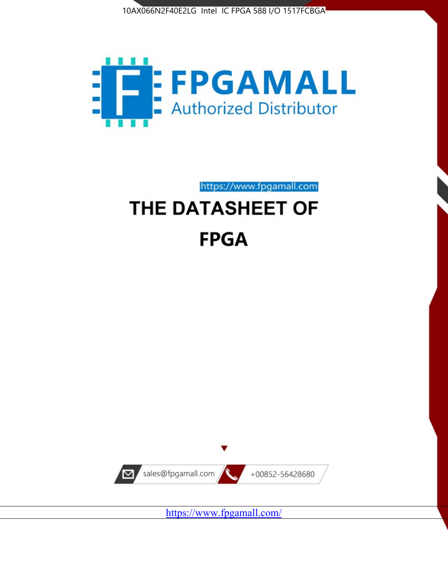



https://www.fpgamall.com

# THE DATASHEET OF **FPGA**



<https://www.fpgamall.com/>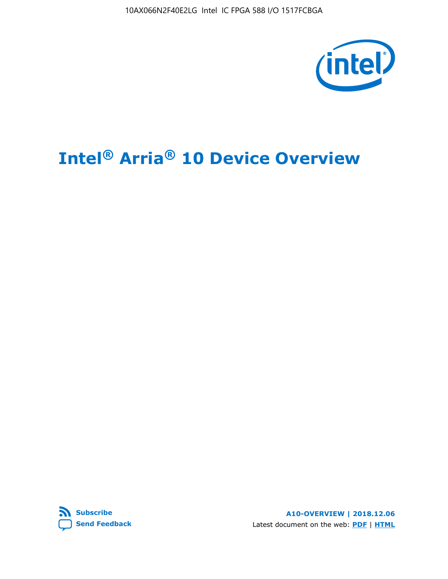10AX066N2F40E2LG Intel IC FPGA 588 I/O 1517FCBGA



# **Intel® Arria® 10 Device Overview**



**A10-OVERVIEW | 2018.12.06** Latest document on the web: **[PDF](https://www.intel.com/content/dam/www/programmable/us/en/pdfs/literature/hb/arria-10/a10_overview.pdf)** | **[HTML](https://www.intel.com/content/www/us/en/programmable/documentation/sam1403480274650.html)**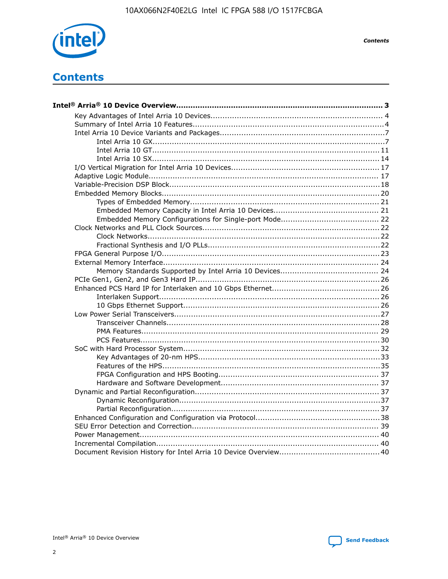

**Contents** 

# **Contents**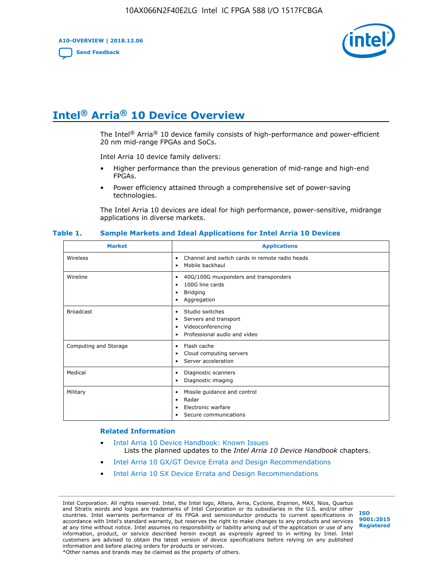**A10-OVERVIEW | 2018.12.06**

**[Send Feedback](mailto:FPGAtechdocfeedback@intel.com?subject=Feedback%20on%20Intel%20Arria%2010%20Device%20Overview%20(A10-OVERVIEW%202018.12.06)&body=We%20appreciate%20your%20feedback.%20In%20your%20comments,%20also%20specify%20the%20page%20number%20or%20paragraph.%20Thank%20you.)**



# **Intel® Arria® 10 Device Overview**

The Intel<sup>®</sup> Arria<sup>®</sup> 10 device family consists of high-performance and power-efficient 20 nm mid-range FPGAs and SoCs.

Intel Arria 10 device family delivers:

- Higher performance than the previous generation of mid-range and high-end FPGAs.
- Power efficiency attained through a comprehensive set of power-saving technologies.

The Intel Arria 10 devices are ideal for high performance, power-sensitive, midrange applications in diverse markets.

| <b>Market</b>         | <b>Applications</b>                                                                                               |
|-----------------------|-------------------------------------------------------------------------------------------------------------------|
| Wireless              | Channel and switch cards in remote radio heads<br>٠<br>Mobile backhaul<br>٠                                       |
| Wireline              | 40G/100G muxponders and transponders<br>٠<br>100G line cards<br>٠<br><b>Bridging</b><br>٠<br>Aggregation<br>٠     |
| <b>Broadcast</b>      | Studio switches<br>٠<br>Servers and transport<br>٠<br>Videoconferencing<br>٠<br>Professional audio and video<br>٠ |
| Computing and Storage | Flash cache<br>٠<br>Cloud computing servers<br>٠<br>Server acceleration<br>٠                                      |
| Medical               | Diagnostic scanners<br>٠<br>Diagnostic imaging<br>٠                                                               |
| Military              | Missile guidance and control<br>٠<br>Radar<br>٠<br>Electronic warfare<br>٠<br>Secure communications<br>٠          |

#### **Table 1. Sample Markets and Ideal Applications for Intel Arria 10 Devices**

#### **Related Information**

- [Intel Arria 10 Device Handbook: Known Issues](http://www.altera.com/support/kdb/solutions/rd07302013_646.html) Lists the planned updates to the *Intel Arria 10 Device Handbook* chapters.
- [Intel Arria 10 GX/GT Device Errata and Design Recommendations](https://www.intel.com/content/www/us/en/programmable/documentation/agz1493851706374.html#yqz1494433888646)
- [Intel Arria 10 SX Device Errata and Design Recommendations](https://www.intel.com/content/www/us/en/programmable/documentation/cru1462832385668.html#cru1462832558642)

Intel Corporation. All rights reserved. Intel, the Intel logo, Altera, Arria, Cyclone, Enpirion, MAX, Nios, Quartus and Stratix words and logos are trademarks of Intel Corporation or its subsidiaries in the U.S. and/or other countries. Intel warrants performance of its FPGA and semiconductor products to current specifications in accordance with Intel's standard warranty, but reserves the right to make changes to any products and services at any time without notice. Intel assumes no responsibility or liability arising out of the application or use of any information, product, or service described herein except as expressly agreed to in writing by Intel. Intel customers are advised to obtain the latest version of device specifications before relying on any published information and before placing orders for products or services. \*Other names and brands may be claimed as the property of others.

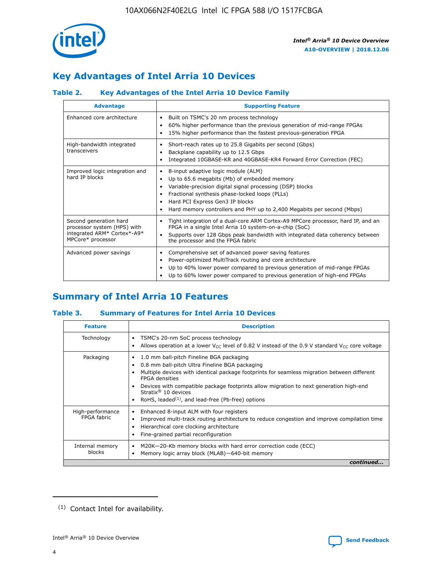

# **Key Advantages of Intel Arria 10 Devices**

## **Table 2. Key Advantages of the Intel Arria 10 Device Family**

| <b>Advantage</b>                                                                                          | <b>Supporting Feature</b>                                                                                                                                                                                                                                                                                                |
|-----------------------------------------------------------------------------------------------------------|--------------------------------------------------------------------------------------------------------------------------------------------------------------------------------------------------------------------------------------------------------------------------------------------------------------------------|
| Enhanced core architecture                                                                                | Built on TSMC's 20 nm process technology<br>٠<br>60% higher performance than the previous generation of mid-range FPGAs<br>٠<br>15% higher performance than the fastest previous-generation FPGA<br>٠                                                                                                                    |
| High-bandwidth integrated<br>transceivers                                                                 | Short-reach rates up to 25.8 Gigabits per second (Gbps)<br>٠<br>Backplane capability up to 12.5 Gbps<br>٠<br>Integrated 10GBASE-KR and 40GBASE-KR4 Forward Error Correction (FEC)<br>٠                                                                                                                                   |
| Improved logic integration and<br>hard IP blocks                                                          | 8-input adaptive logic module (ALM)<br>٠<br>Up to 65.6 megabits (Mb) of embedded memory<br>٠<br>Variable-precision digital signal processing (DSP) blocks<br>Fractional synthesis phase-locked loops (PLLs)<br>Hard PCI Express Gen3 IP blocks<br>Hard memory controllers and PHY up to 2,400 Megabits per second (Mbps) |
| Second generation hard<br>processor system (HPS) with<br>integrated ARM* Cortex*-A9*<br>MPCore* processor | Tight integration of a dual-core ARM Cortex-A9 MPCore processor, hard IP, and an<br>٠<br>FPGA in a single Intel Arria 10 system-on-a-chip (SoC)<br>Supports over 128 Gbps peak bandwidth with integrated data coherency between<br>$\bullet$<br>the processor and the FPGA fabric                                        |
| Advanced power savings                                                                                    | Comprehensive set of advanced power saving features<br>٠<br>Power-optimized MultiTrack routing and core architecture<br>٠<br>Up to 40% lower power compared to previous generation of mid-range FPGAs<br>٠<br>Up to 60% lower power compared to previous generation of high-end FPGAs                                    |

# **Summary of Intel Arria 10 Features**

## **Table 3. Summary of Features for Intel Arria 10 Devices**

| <b>Feature</b>                  | <b>Description</b>                                                                                                                                                                                                                                                                                                                                                                                       |
|---------------------------------|----------------------------------------------------------------------------------------------------------------------------------------------------------------------------------------------------------------------------------------------------------------------------------------------------------------------------------------------------------------------------------------------------------|
| Technology                      | TSMC's 20-nm SoC process technology<br>٠<br>Allows operation at a lower $V_{\text{CC}}$ level of 0.82 V instead of the 0.9 V standard $V_{\text{CC}}$ core voltage                                                                                                                                                                                                                                       |
| Packaging                       | 1.0 mm ball-pitch Fineline BGA packaging<br>0.8 mm ball-pitch Ultra Fineline BGA packaging<br>Multiple devices with identical package footprints for seamless migration between different<br><b>FPGA</b> densities<br>Devices with compatible package footprints allow migration to next generation high-end<br>Stratix $\mathcal{R}$ 10 devices<br>RoHS, leaded $(1)$ , and lead-free (Pb-free) options |
| High-performance<br>FPGA fabric | Enhanced 8-input ALM with four registers<br>٠<br>Improved multi-track routing architecture to reduce congestion and improve compilation time<br>Hierarchical core clocking architecture<br>Fine-grained partial reconfiguration                                                                                                                                                                          |
| Internal memory<br>blocks       | M20K-20-Kb memory blocks with hard error correction code (ECC)<br>Memory logic array block (MLAB)-640-bit memory                                                                                                                                                                                                                                                                                         |
|                                 | continued                                                                                                                                                                                                                                                                                                                                                                                                |



<sup>(1)</sup> Contact Intel for availability.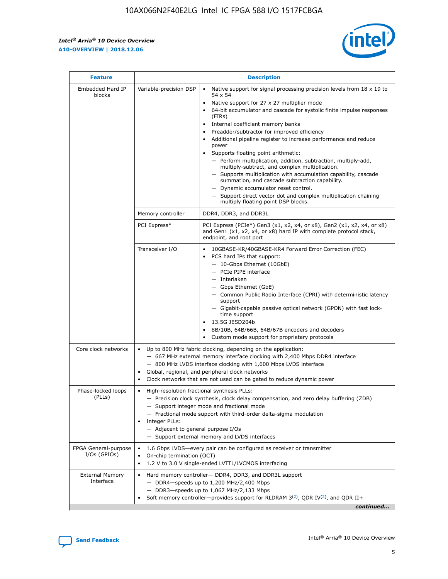r



| <b>Feature</b>                         | <b>Description</b>                                                                                             |                                                                                                                                                                                                                                                                                                                                                                                                                                                                                                                                                                                                                                                                                                                                                                                                                                                                  |  |  |  |  |  |
|----------------------------------------|----------------------------------------------------------------------------------------------------------------|------------------------------------------------------------------------------------------------------------------------------------------------------------------------------------------------------------------------------------------------------------------------------------------------------------------------------------------------------------------------------------------------------------------------------------------------------------------------------------------------------------------------------------------------------------------------------------------------------------------------------------------------------------------------------------------------------------------------------------------------------------------------------------------------------------------------------------------------------------------|--|--|--|--|--|
| Embedded Hard IP<br>blocks             | Variable-precision DSP                                                                                         | Native support for signal processing precision levels from $18 \times 19$ to<br>$\bullet$<br>54 x 54<br>Native support for 27 x 27 multiplier mode<br>$\bullet$<br>64-bit accumulator and cascade for systolic finite impulse responses<br>(FIRs)<br>Internal coefficient memory banks<br>$\bullet$<br>Preadder/subtractor for improved efficiency<br>Additional pipeline register to increase performance and reduce<br>power<br>Supports floating point arithmetic:<br>- Perform multiplication, addition, subtraction, multiply-add,<br>multiply-subtract, and complex multiplication.<br>- Supports multiplication with accumulation capability, cascade<br>summation, and cascade subtraction capability.<br>- Dynamic accumulator reset control.<br>- Support direct vector dot and complex multiplication chaining<br>multiply floating point DSP blocks. |  |  |  |  |  |
|                                        | Memory controller                                                                                              | DDR4, DDR3, and DDR3L                                                                                                                                                                                                                                                                                                                                                                                                                                                                                                                                                                                                                                                                                                                                                                                                                                            |  |  |  |  |  |
|                                        | PCI Express*                                                                                                   | PCI Express (PCIe*) Gen3 (x1, x2, x4, or x8), Gen2 (x1, x2, x4, or x8)<br>and Gen1 (x1, x2, x4, or x8) hard IP with complete protocol stack,<br>endpoint, and root port                                                                                                                                                                                                                                                                                                                                                                                                                                                                                                                                                                                                                                                                                          |  |  |  |  |  |
|                                        | Transceiver I/O                                                                                                | 10GBASE-KR/40GBASE-KR4 Forward Error Correction (FEC)<br>PCS hard IPs that support:<br>- 10-Gbps Ethernet (10GbE)<br>- PCIe PIPE interface<br>- Interlaken<br>- Gbps Ethernet (GbE)<br>- Common Public Radio Interface (CPRI) with deterministic latency<br>support<br>- Gigabit-capable passive optical network (GPON) with fast lock-<br>time support<br>13.5G JESD204b<br>$\bullet$<br>8B/10B, 64B/66B, 64B/67B encoders and decoders<br>Custom mode support for proprietary protocols                                                                                                                                                                                                                                                                                                                                                                        |  |  |  |  |  |
| Core clock networks                    | $\bullet$                                                                                                      | Up to 800 MHz fabric clocking, depending on the application:<br>- 667 MHz external memory interface clocking with 2,400 Mbps DDR4 interface<br>- 800 MHz LVDS interface clocking with 1,600 Mbps LVDS interface<br>Global, regional, and peripheral clock networks<br>Clock networks that are not used can be gated to reduce dynamic power                                                                                                                                                                                                                                                                                                                                                                                                                                                                                                                      |  |  |  |  |  |
| Phase-locked loops<br>(PLLs)           | High-resolution fractional synthesis PLLs:<br>$\bullet$<br>Integer PLLs:<br>- Adjacent to general purpose I/Os | - Precision clock synthesis, clock delay compensation, and zero delay buffering (ZDB)<br>- Support integer mode and fractional mode<br>- Fractional mode support with third-order delta-sigma modulation<br>- Support external memory and LVDS interfaces                                                                                                                                                                                                                                                                                                                                                                                                                                                                                                                                                                                                        |  |  |  |  |  |
| FPGA General-purpose<br>$I/Os$ (GPIOs) | On-chip termination (OCT)<br>$\bullet$                                                                         | 1.6 Gbps LVDS-every pair can be configured as receiver or transmitter<br>1.2 V to 3.0 V single-ended LVTTL/LVCMOS interfacing                                                                                                                                                                                                                                                                                                                                                                                                                                                                                                                                                                                                                                                                                                                                    |  |  |  |  |  |
| <b>External Memory</b><br>Interface    | $\bullet$                                                                                                      | Hard memory controller- DDR4, DDR3, and DDR3L support<br>$-$ DDR4-speeds up to 1,200 MHz/2,400 Mbps<br>- DDR3-speeds up to 1,067 MHz/2,133 Mbps<br>Soft memory controller—provides support for RLDRAM $3^{(2)}$ , QDR IV $^{(2)}$ , and QDR II+<br>continued                                                                                                                                                                                                                                                                                                                                                                                                                                                                                                                                                                                                     |  |  |  |  |  |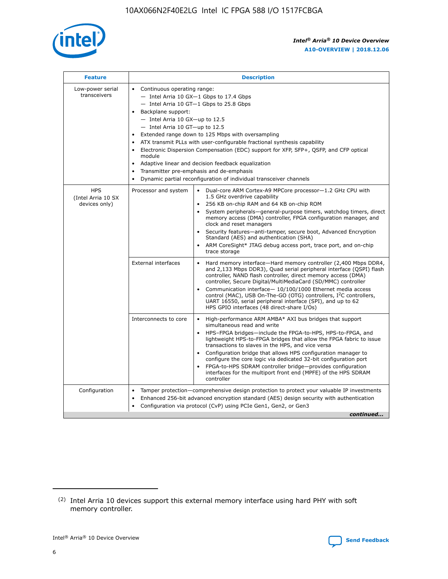

| <b>Feature</b>                                    | <b>Description</b>                                                                                                                                                                                                                                                                                                                                                                                                                                                                                                                                                                                                                                                        |
|---------------------------------------------------|---------------------------------------------------------------------------------------------------------------------------------------------------------------------------------------------------------------------------------------------------------------------------------------------------------------------------------------------------------------------------------------------------------------------------------------------------------------------------------------------------------------------------------------------------------------------------------------------------------------------------------------------------------------------------|
| Low-power serial<br>transceivers                  | • Continuous operating range:<br>- Intel Arria 10 GX-1 Gbps to 17.4 Gbps<br>$-$ Intel Arria 10 GT $-1$ Gbps to 25.8 Gbps<br>Backplane support:<br>$\bullet$<br>$-$ Intel Arria 10 GX-up to 12.5<br>$-$ Intel Arria 10 GT-up to 12.5<br>Extended range down to 125 Mbps with oversampling<br>ATX transmit PLLs with user-configurable fractional synthesis capability<br>Electronic Dispersion Compensation (EDC) support for XFP, SFP+, OSFP, and CFP optical<br>module<br>Adaptive linear and decision feedback equalization<br>$\bullet$<br>Transmitter pre-emphasis and de-emphasis<br>$\bullet$<br>Dynamic partial reconfiguration of individual transceiver channels |
| <b>HPS</b><br>(Intel Arria 10 SX<br>devices only) | Dual-core ARM Cortex-A9 MPCore processor-1.2 GHz CPU with<br>Processor and system<br>$\bullet$<br>1.5 GHz overdrive capability<br>256 KB on-chip RAM and 64 KB on-chip ROM<br>System peripherals-general-purpose timers, watchdog timers, direct<br>memory access (DMA) controller, FPGA configuration manager, and<br>clock and reset managers<br>• Security features—anti-tamper, secure boot, Advanced Encryption<br>Standard (AES) and authentication (SHA)<br>ARM CoreSight* JTAG debug access port, trace port, and on-chip<br>$\bullet$<br>trace storage                                                                                                           |
|                                                   | <b>External interfaces</b><br>Hard memory interface—Hard memory controller (2,400 Mbps DDR4,<br>and 2,133 Mbps DDR3), Quad serial peripheral interface (QSPI) flash<br>controller, NAND flash controller, direct memory access (DMA)<br>controller, Secure Digital/MultiMediaCard (SD/MMC) controller<br>Communication interface-10/100/1000 Ethernet media access<br>$\bullet$<br>control (MAC), USB On-The-GO (OTG) controllers, I <sup>2</sup> C controllers,<br>UART 16550, serial peripheral interface (SPI), and up to 62<br>HPS GPIO interfaces (48 direct-share I/Os)                                                                                             |
|                                                   | Interconnects to core<br>• High-performance ARM AMBA* AXI bus bridges that support<br>simultaneous read and write<br>HPS-FPGA bridges-include the FPGA-to-HPS, HPS-to-FPGA, and<br>$\bullet$<br>lightweight HPS-to-FPGA bridges that allow the FPGA fabric to issue<br>transactions to slaves in the HPS, and vice versa<br>Configuration bridge that allows HPS configuration manager to<br>configure the core logic via dedicated 32-bit configuration port<br>FPGA-to-HPS SDRAM controller bridge-provides configuration<br>interfaces for the multiport front end (MPFE) of the HPS SDRAM<br>controller                                                               |
| Configuration                                     | Tamper protection—comprehensive design protection to protect your valuable IP investments<br>Enhanced 256-bit advanced encryption standard (AES) design security with authentication<br>$\bullet$<br>Configuration via protocol (CvP) using PCIe Gen1, Gen2, or Gen3<br>continued                                                                                                                                                                                                                                                                                                                                                                                         |



<sup>(2)</sup> Intel Arria 10 devices support this external memory interface using hard PHY with soft memory controller.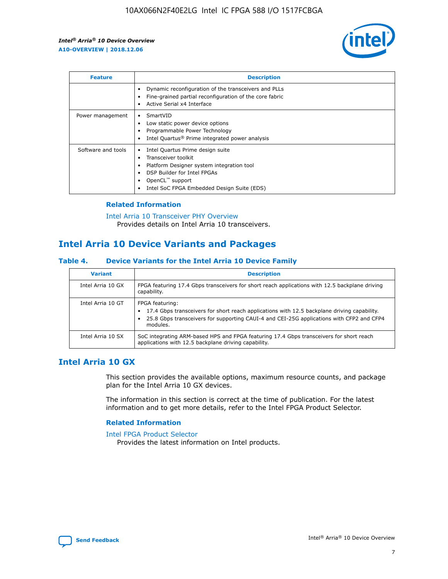

| <b>Feature</b>     | <b>Description</b>                                                                                                                                                                                               |
|--------------------|------------------------------------------------------------------------------------------------------------------------------------------------------------------------------------------------------------------|
|                    | Dynamic reconfiguration of the transceivers and PLLs<br>Fine-grained partial reconfiguration of the core fabric<br>Active Serial x4 Interface<br>$\bullet$                                                       |
| Power management   | SmartVID<br>Low static power device options<br>Programmable Power Technology<br>Intel Quartus <sup>®</sup> Prime integrated power analysis                                                                       |
| Software and tools | Intel Quartus Prime design suite<br>Transceiver toolkit<br>Platform Designer system integration tool<br>DSP Builder for Intel FPGAs<br>OpenCL <sup>™</sup> support<br>Intel SoC FPGA Embedded Design Suite (EDS) |

## **Related Information**

[Intel Arria 10 Transceiver PHY Overview](https://www.intel.com/content/www/us/en/programmable/documentation/nik1398707230472.html#nik1398706768037) Provides details on Intel Arria 10 transceivers.

## **Intel Arria 10 Device Variants and Packages**

#### **Table 4. Device Variants for the Intel Arria 10 Device Family**

| <b>Variant</b>    | <b>Description</b>                                                                                                                                                                                                     |
|-------------------|------------------------------------------------------------------------------------------------------------------------------------------------------------------------------------------------------------------------|
| Intel Arria 10 GX | FPGA featuring 17.4 Gbps transceivers for short reach applications with 12.5 backplane driving<br>capability.                                                                                                          |
| Intel Arria 10 GT | FPGA featuring:<br>17.4 Gbps transceivers for short reach applications with 12.5 backplane driving capability.<br>25.8 Gbps transceivers for supporting CAUI-4 and CEI-25G applications with CFP2 and CFP4<br>modules. |
| Intel Arria 10 SX | SoC integrating ARM-based HPS and FPGA featuring 17.4 Gbps transceivers for short reach<br>applications with 12.5 backplane driving capability.                                                                        |

## **Intel Arria 10 GX**

This section provides the available options, maximum resource counts, and package plan for the Intel Arria 10 GX devices.

The information in this section is correct at the time of publication. For the latest information and to get more details, refer to the Intel FPGA Product Selector.

#### **Related Information**

#### [Intel FPGA Product Selector](http://www.altera.com/products/selector/psg-selector.html) Provides the latest information on Intel products.

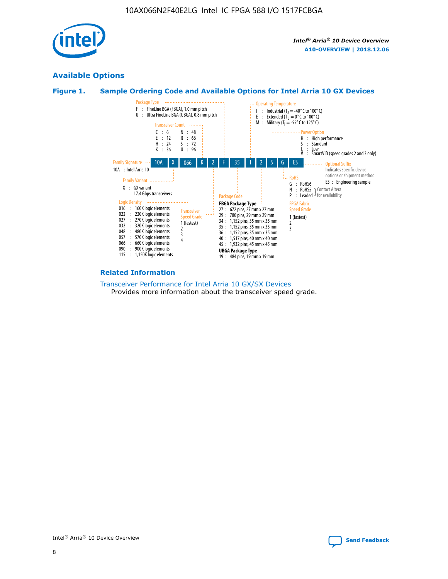

## **Available Options**





#### **Related Information**

[Transceiver Performance for Intel Arria 10 GX/SX Devices](https://www.intel.com/content/www/us/en/programmable/documentation/mcn1413182292568.html#mcn1413213965502) Provides more information about the transceiver speed grade.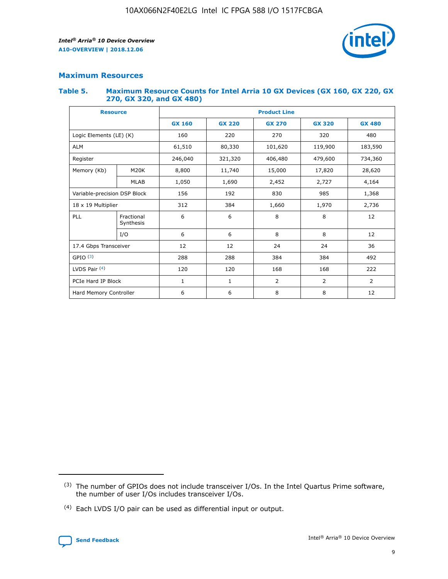

## **Maximum Resources**

#### **Table 5. Maximum Resource Counts for Intel Arria 10 GX Devices (GX 160, GX 220, GX 270, GX 320, and GX 480)**

| <b>Resource</b>              |                         | <b>Product Line</b> |                                |                    |                |                |  |  |  |
|------------------------------|-------------------------|---------------------|--------------------------------|--------------------|----------------|----------------|--|--|--|
|                              |                         | <b>GX 160</b>       | <b>GX 220</b><br><b>GX 270</b> |                    | <b>GX 320</b>  | <b>GX 480</b>  |  |  |  |
| Logic Elements (LE) (K)      |                         | 160                 | 320<br>220<br>270              |                    |                | 480            |  |  |  |
| <b>ALM</b>                   |                         | 61,510              | 80,330                         | 101,620            | 119,900        | 183,590        |  |  |  |
| Register                     |                         | 246,040             | 321,320                        | 479,600<br>406,480 |                | 734,360        |  |  |  |
| Memory (Kb)                  | M <sub>20</sub> K       | 8,800               | 11,740                         | 15,000             | 17,820         | 28,620         |  |  |  |
|                              | <b>MLAB</b>             | 1,050               | 1,690                          | 2,452<br>2,727     |                | 4,164          |  |  |  |
| Variable-precision DSP Block |                         | 156                 | 192                            | 830                | 985            |                |  |  |  |
| 18 x 19 Multiplier           |                         | 312                 | 384                            | 1,970<br>1,660     |                | 2,736          |  |  |  |
| PLL                          | Fractional<br>Synthesis | 6                   | 6                              | 8                  | 8              | 12             |  |  |  |
|                              | I/O                     | 6                   | 6                              | 8                  | 8              | 12             |  |  |  |
| 17.4 Gbps Transceiver        |                         | 12                  | 12                             | 24                 | 24             |                |  |  |  |
| GPIO <sup>(3)</sup>          |                         | 288                 | 288                            | 384<br>384         |                | 492            |  |  |  |
| LVDS Pair $(4)$              |                         | 120                 | 120                            | 168                | 168            | 222            |  |  |  |
| PCIe Hard IP Block           |                         | $\mathbf{1}$        | 1                              | $\overline{2}$     | $\overline{2}$ | $\overline{2}$ |  |  |  |
| Hard Memory Controller       |                         | 6                   | 6                              | 8                  | 8              |                |  |  |  |

<sup>(4)</sup> Each LVDS I/O pair can be used as differential input or output.



<sup>(3)</sup> The number of GPIOs does not include transceiver I/Os. In the Intel Quartus Prime software, the number of user I/Os includes transceiver I/Os.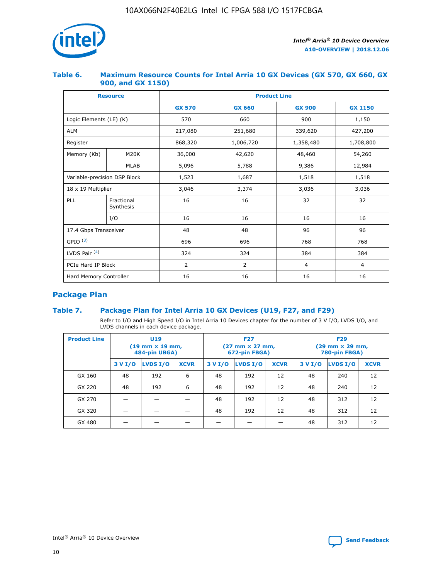

## **Table 6. Maximum Resource Counts for Intel Arria 10 GX Devices (GX 570, GX 660, GX 900, and GX 1150)**

|                              | <b>Resource</b>         | <b>Product Line</b> |                |                |                |  |  |  |
|------------------------------|-------------------------|---------------------|----------------|----------------|----------------|--|--|--|
|                              |                         | <b>GX 570</b>       | <b>GX 660</b>  | <b>GX 900</b>  | <b>GX 1150</b> |  |  |  |
| Logic Elements (LE) (K)      |                         | 570                 | 660            | 900            | 1,150          |  |  |  |
| <b>ALM</b>                   |                         | 217,080             | 251,680        | 339,620        | 427,200        |  |  |  |
| Register                     |                         | 868,320             | 1,006,720      |                | 1,708,800      |  |  |  |
| Memory (Kb)                  | <b>M20K</b>             | 36,000              | 42,620         | 48,460         | 54,260         |  |  |  |
|                              | <b>MLAB</b>             | 5,096               | 5,788          | 9,386          | 12,984         |  |  |  |
| Variable-precision DSP Block |                         | 1,523               | 1,687          | 1,518          | 1,518          |  |  |  |
| $18 \times 19$ Multiplier    |                         | 3,046               | 3,374          | 3,036          | 3,036          |  |  |  |
| PLL                          | Fractional<br>Synthesis | 16                  | 16             | 32             | 32             |  |  |  |
|                              | I/O                     | 16                  | 16             | 16             | 16             |  |  |  |
| 17.4 Gbps Transceiver        |                         | 48                  | 48<br>96       |                | 96             |  |  |  |
| GPIO <sup>(3)</sup>          |                         | 696                 | 696            | 768            | 768            |  |  |  |
| LVDS Pair $(4)$              |                         | 324                 | 324            | 384            | 384            |  |  |  |
| PCIe Hard IP Block           |                         | 2                   | $\overline{2}$ | $\overline{4}$ | 4              |  |  |  |
| Hard Memory Controller       |                         | 16                  | 16             | 16             | 16             |  |  |  |

## **Package Plan**

## **Table 7. Package Plan for Intel Arria 10 GX Devices (U19, F27, and F29)**

Refer to I/O and High Speed I/O in Intel Arria 10 Devices chapter for the number of 3 V I/O, LVDS I/O, and LVDS channels in each device package.

| <b>Product Line</b> | U <sub>19</sub><br>$(19 \text{ mm} \times 19 \text{ mm})$<br>484-pin UBGA) |          |             | <b>F27</b><br>(27 mm × 27 mm,<br>672-pin FBGA) |          |             | <b>F29</b><br>(29 mm × 29 mm,<br>780-pin FBGA) |          |             |  |
|---------------------|----------------------------------------------------------------------------|----------|-------------|------------------------------------------------|----------|-------------|------------------------------------------------|----------|-------------|--|
|                     | 3 V I/O                                                                    | LVDS I/O | <b>XCVR</b> | 3 V I/O                                        | LVDS I/O | <b>XCVR</b> | 3 V I/O                                        | LVDS I/O | <b>XCVR</b> |  |
| GX 160              | 48                                                                         | 192      | 6           | 48                                             | 192      | 12          | 48                                             | 240      | 12          |  |
| GX 220              | 48                                                                         | 192      | 6           | 48                                             | 192      | 12          | 48                                             | 240      | 12          |  |
| GX 270              |                                                                            |          |             | 48                                             | 192      | 12          | 48                                             | 312      | 12          |  |
| GX 320              |                                                                            |          |             | 48                                             | 192      | 12          | 48                                             | 312      | 12          |  |
| GX 480              |                                                                            |          |             |                                                |          |             | 48                                             | 312      | 12          |  |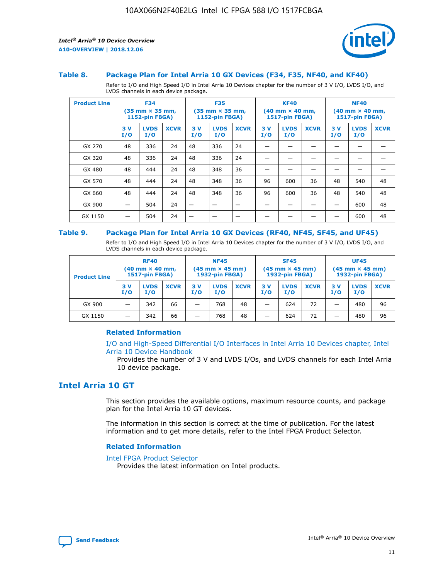

#### **Table 8. Package Plan for Intel Arria 10 GX Devices (F34, F35, NF40, and KF40)**

Refer to I/O and High Speed I/O in Intel Arria 10 Devices chapter for the number of 3 V I/O, LVDS I/O, and LVDS channels in each device package.

| <b>Product Line</b> | <b>F34</b><br>$(35 \text{ mm} \times 35 \text{ mm})$<br>1152-pin FBGA) |                    | <b>F35</b><br>$(35 \text{ mm} \times 35 \text{ mm})$<br><b>1152-pin FBGA)</b> |           | <b>KF40</b><br>$(40$ mm $\times$ 40 mm,<br>1517-pin FBGA) |             |           | <b>NF40</b><br>$(40$ mm $\times$ 40 mm,<br><b>1517-pin FBGA)</b> |             |            |                    |             |
|---------------------|------------------------------------------------------------------------|--------------------|-------------------------------------------------------------------------------|-----------|-----------------------------------------------------------|-------------|-----------|------------------------------------------------------------------|-------------|------------|--------------------|-------------|
|                     | 3V<br>I/O                                                              | <b>LVDS</b><br>I/O | <b>XCVR</b>                                                                   | 3V<br>I/O | <b>LVDS</b><br>I/O                                        | <b>XCVR</b> | 3V<br>I/O | <b>LVDS</b><br>I/O                                               | <b>XCVR</b> | 3 V<br>I/O | <b>LVDS</b><br>I/O | <b>XCVR</b> |
| GX 270              | 48                                                                     | 336                | 24                                                                            | 48        | 336                                                       | 24          |           |                                                                  |             |            |                    |             |
| GX 320              | 48                                                                     | 336                | 24                                                                            | 48        | 336                                                       | 24          |           |                                                                  |             |            |                    |             |
| GX 480              | 48                                                                     | 444                | 24                                                                            | 48        | 348                                                       | 36          |           |                                                                  |             |            |                    |             |
| GX 570              | 48                                                                     | 444                | 24                                                                            | 48        | 348                                                       | 36          | 96        | 600                                                              | 36          | 48         | 540                | 48          |
| GX 660              | 48                                                                     | 444                | 24                                                                            | 48        | 348                                                       | 36          | 96        | 600                                                              | 36          | 48         | 540                | 48          |
| GX 900              |                                                                        | 504                | 24                                                                            | -         |                                                           |             |           |                                                                  |             |            | 600                | 48          |
| GX 1150             |                                                                        | 504                | 24                                                                            |           |                                                           |             |           |                                                                  |             |            | 600                | 48          |

#### **Table 9. Package Plan for Intel Arria 10 GX Devices (RF40, NF45, SF45, and UF45)**

Refer to I/O and High Speed I/O in Intel Arria 10 Devices chapter for the number of 3 V I/O, LVDS I/O, and LVDS channels in each device package.

| <b>Product Line</b> | <b>RF40</b><br>$(40$ mm $\times$ 40 mm,<br>1517-pin FBGA) |                    |             | <b>NF45</b><br>$(45 \text{ mm} \times 45 \text{ mm})$<br><b>1932-pin FBGA)</b> |                    |             | <b>SF45</b><br>$(45 \text{ mm} \times 45 \text{ mm})$<br><b>1932-pin FBGA)</b> |                    |             | <b>UF45</b><br>$(45 \text{ mm} \times 45 \text{ mm})$<br><b>1932-pin FBGA)</b> |                    |             |
|---------------------|-----------------------------------------------------------|--------------------|-------------|--------------------------------------------------------------------------------|--------------------|-------------|--------------------------------------------------------------------------------|--------------------|-------------|--------------------------------------------------------------------------------|--------------------|-------------|
|                     | 3V<br>I/O                                                 | <b>LVDS</b><br>I/O | <b>XCVR</b> | 3 V<br>I/O                                                                     | <b>LVDS</b><br>I/O | <b>XCVR</b> | 3 V<br>I/O                                                                     | <b>LVDS</b><br>I/O | <b>XCVR</b> | 3V<br>I/O                                                                      | <b>LVDS</b><br>I/O | <b>XCVR</b> |
| GX 900              |                                                           | 342                | 66          | _                                                                              | 768                | 48          |                                                                                | 624                | 72          |                                                                                | 480                | 96          |
| GX 1150             |                                                           | 342                | 66          | _                                                                              | 768                | 48          |                                                                                | 624                | 72          |                                                                                | 480                | 96          |

#### **Related Information**

[I/O and High-Speed Differential I/O Interfaces in Intel Arria 10 Devices chapter, Intel](https://www.intel.com/content/www/us/en/programmable/documentation/sam1403482614086.html#sam1403482030321) [Arria 10 Device Handbook](https://www.intel.com/content/www/us/en/programmable/documentation/sam1403482614086.html#sam1403482030321)

Provides the number of 3 V and LVDS I/Os, and LVDS channels for each Intel Arria 10 device package.

## **Intel Arria 10 GT**

This section provides the available options, maximum resource counts, and package plan for the Intel Arria 10 GT devices.

The information in this section is correct at the time of publication. For the latest information and to get more details, refer to the Intel FPGA Product Selector.

#### **Related Information**

#### [Intel FPGA Product Selector](http://www.altera.com/products/selector/psg-selector.html)

Provides the latest information on Intel products.

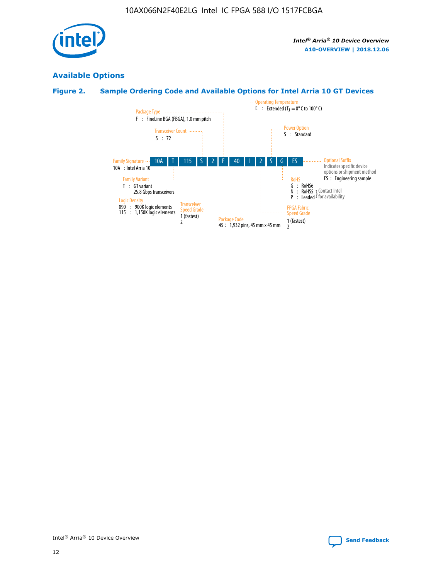

## **Available Options**

## **Figure 2. Sample Ordering Code and Available Options for Intel Arria 10 GT Devices**

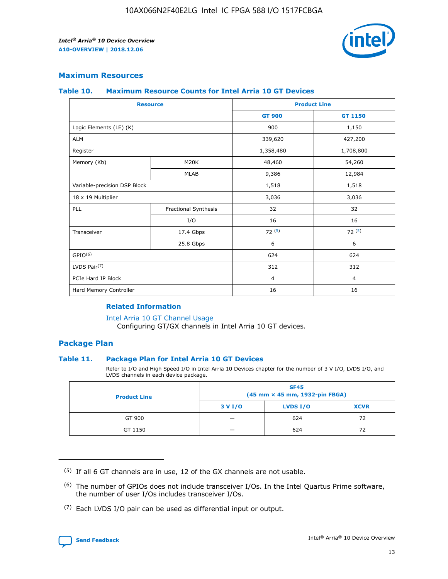

## **Maximum Resources**

#### **Table 10. Maximum Resource Counts for Intel Arria 10 GT Devices**

| <b>Resource</b>              |                      |                | <b>Product Line</b> |  |
|------------------------------|----------------------|----------------|---------------------|--|
|                              |                      | <b>GT 900</b>  | <b>GT 1150</b>      |  |
| Logic Elements (LE) (K)      |                      | 900            | 1,150               |  |
| <b>ALM</b>                   |                      | 339,620        | 427,200             |  |
| Register                     |                      | 1,358,480      | 1,708,800           |  |
| Memory (Kb)                  | M <sub>20</sub> K    | 48,460         | 54,260              |  |
|                              | <b>MLAB</b>          | 9,386          | 12,984              |  |
| Variable-precision DSP Block |                      | 1,518          | 1,518               |  |
| 18 x 19 Multiplier           |                      | 3,036          | 3,036               |  |
| PLL                          | Fractional Synthesis | 32             | 32                  |  |
|                              | I/O                  | 16             | 16                  |  |
| Transceiver                  | 17.4 Gbps            | 72(5)          | 72(5)               |  |
|                              | 25.8 Gbps            | 6              | 6                   |  |
| GPIO <sup>(6)</sup>          |                      | 624            | 624                 |  |
| LVDS Pair $(7)$              |                      | 312            | 312                 |  |
| PCIe Hard IP Block           |                      | $\overline{4}$ | $\overline{4}$      |  |
| Hard Memory Controller       |                      | 16             | 16                  |  |

#### **Related Information**

#### [Intel Arria 10 GT Channel Usage](https://www.intel.com/content/www/us/en/programmable/documentation/nik1398707230472.html#nik1398707008178)

Configuring GT/GX channels in Intel Arria 10 GT devices.

## **Package Plan**

#### **Table 11. Package Plan for Intel Arria 10 GT Devices**

Refer to I/O and High Speed I/O in Intel Arria 10 Devices chapter for the number of 3 V I/O, LVDS I/O, and LVDS channels in each device package.

| <b>Product Line</b> | <b>SF45</b><br>(45 mm × 45 mm, 1932-pin FBGA) |                 |             |  |  |  |
|---------------------|-----------------------------------------------|-----------------|-------------|--|--|--|
|                     | 3 V I/O                                       | <b>LVDS I/O</b> | <b>XCVR</b> |  |  |  |
| GT 900              |                                               | 624             | 72          |  |  |  |
| GT 1150             |                                               | 624             | 72          |  |  |  |

<sup>(7)</sup> Each LVDS I/O pair can be used as differential input or output.



 $(5)$  If all 6 GT channels are in use, 12 of the GX channels are not usable.

<sup>(6)</sup> The number of GPIOs does not include transceiver I/Os. In the Intel Quartus Prime software, the number of user I/Os includes transceiver I/Os.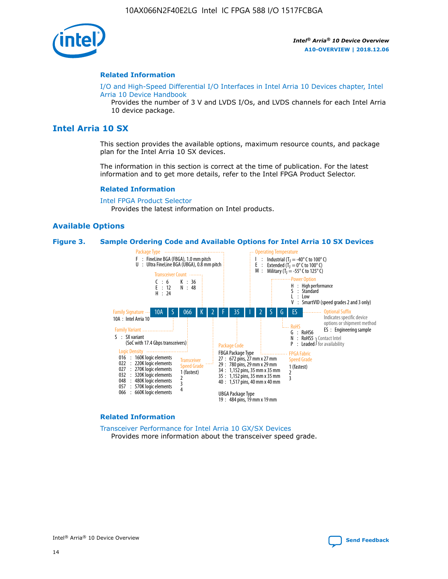

#### **Related Information**

[I/O and High-Speed Differential I/O Interfaces in Intel Arria 10 Devices chapter, Intel](https://www.intel.com/content/www/us/en/programmable/documentation/sam1403482614086.html#sam1403482030321) [Arria 10 Device Handbook](https://www.intel.com/content/www/us/en/programmable/documentation/sam1403482614086.html#sam1403482030321)

Provides the number of 3 V and LVDS I/Os, and LVDS channels for each Intel Arria 10 device package.

## **Intel Arria 10 SX**

This section provides the available options, maximum resource counts, and package plan for the Intel Arria 10 SX devices.

The information in this section is correct at the time of publication. For the latest information and to get more details, refer to the Intel FPGA Product Selector.

#### **Related Information**

[Intel FPGA Product Selector](http://www.altera.com/products/selector/psg-selector.html) Provides the latest information on Intel products.

#### **Available Options**

#### **Figure 3. Sample Ordering Code and Available Options for Intel Arria 10 SX Devices**



#### **Related Information**

[Transceiver Performance for Intel Arria 10 GX/SX Devices](https://www.intel.com/content/www/us/en/programmable/documentation/mcn1413182292568.html#mcn1413213965502) Provides more information about the transceiver speed grade.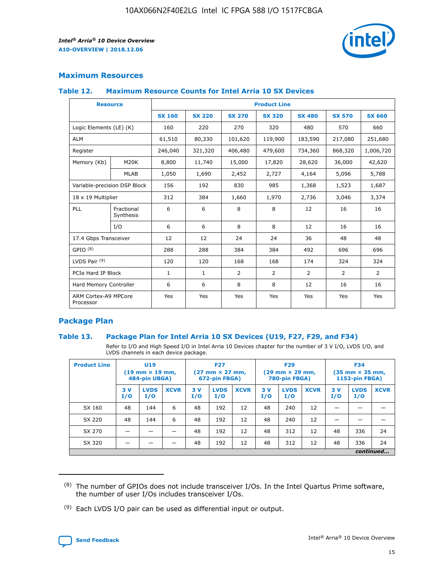

## **Maximum Resources**

#### **Table 12. Maximum Resource Counts for Intel Arria 10 SX Devices**

|                                   | <b>Resource</b>         | <b>Product Line</b> |               |                |                |                |                |                |  |  |  |
|-----------------------------------|-------------------------|---------------------|---------------|----------------|----------------|----------------|----------------|----------------|--|--|--|
|                                   |                         | <b>SX 160</b>       | <b>SX 220</b> | <b>SX 270</b>  | <b>SX 320</b>  | <b>SX 480</b>  | <b>SX 570</b>  | <b>SX 660</b>  |  |  |  |
| Logic Elements (LE) (K)           |                         | 160                 | 220           | 270            | 320            | 480            | 570            | 660            |  |  |  |
| <b>ALM</b>                        |                         | 61,510              | 80,330        | 101,620        | 119,900        | 183,590        | 217,080        | 251,680        |  |  |  |
| Register                          |                         | 246,040             | 321,320       | 406,480        | 479,600        | 734,360        | 868,320        | 1,006,720      |  |  |  |
| Memory (Kb)                       | <b>M20K</b>             | 8,800               | 11,740        | 15,000         | 17,820         | 28,620         | 36,000         | 42,620         |  |  |  |
|                                   | <b>MLAB</b>             | 1,050               | 1,690         | 2,452          | 2,727          | 4,164          | 5,096          | 5,788          |  |  |  |
| Variable-precision DSP Block      |                         | 156                 | 192           | 830            | 985            | 1,368          | 1,523          | 1,687          |  |  |  |
| 18 x 19 Multiplier                |                         | 312                 | 384           | 1,660          | 1,970          | 2,736          | 3,046          | 3,374          |  |  |  |
| <b>PLL</b>                        | Fractional<br>Synthesis | 6                   | 6             | 8              | 8              | 12             | 16             | 16             |  |  |  |
|                                   | I/O                     | 6                   | 6             | 8              | 8              | 12             | 16             | 16             |  |  |  |
| 17.4 Gbps Transceiver             |                         | 12                  | 12            | 24             | 24             | 36             | 48             | 48             |  |  |  |
| GPIO <sup>(8)</sup>               |                         | 288                 | 288           | 384            | 384            | 492            | 696            | 696            |  |  |  |
| LVDS Pair $(9)$                   |                         | 120                 | 120           | 168            | 168            | 174            | 324            | 324            |  |  |  |
| PCIe Hard IP Block                |                         | $\mathbf{1}$        | $\mathbf{1}$  | $\overline{2}$ | $\overline{2}$ | $\overline{2}$ | $\overline{2}$ | $\overline{2}$ |  |  |  |
| Hard Memory Controller            |                         | 6                   | 6             | 8              | 8              | 12             | 16             | 16             |  |  |  |
| ARM Cortex-A9 MPCore<br>Processor |                         | Yes                 | Yes           | Yes            | Yes            | Yes            | Yes            | Yes            |  |  |  |

## **Package Plan**

#### **Table 13. Package Plan for Intel Arria 10 SX Devices (U19, F27, F29, and F34)**

Refer to I/O and High Speed I/O in Intel Arria 10 Devices chapter for the number of 3 V I/O, LVDS I/O, and LVDS channels in each device package.

| <b>Product Line</b> | <b>U19</b><br>$(19 \text{ mm} \times 19 \text{ mm})$<br>484-pin UBGA) |                    |             | <b>F27</b><br>$(27 \text{ mm} \times 27 \text{ mm})$<br>672-pin FBGA) |                    | <b>F29</b><br>$(29 \text{ mm} \times 29 \text{ mm})$<br>780-pin FBGA) |           |                    | <b>F34</b><br>$(35 \text{ mm} \times 35 \text{ mm})$<br><b>1152-pin FBGA)</b> |           |                    |             |
|---------------------|-----------------------------------------------------------------------|--------------------|-------------|-----------------------------------------------------------------------|--------------------|-----------------------------------------------------------------------|-----------|--------------------|-------------------------------------------------------------------------------|-----------|--------------------|-------------|
|                     | 3V<br>I/O                                                             | <b>LVDS</b><br>I/O | <b>XCVR</b> | 3V<br>I/O                                                             | <b>LVDS</b><br>I/O | <b>XCVR</b>                                                           | 3V<br>I/O | <b>LVDS</b><br>I/O | <b>XCVR</b>                                                                   | 3V<br>I/O | <b>LVDS</b><br>I/O | <b>XCVR</b> |
| SX 160              | 48                                                                    | 144                | 6           | 48                                                                    | 192                | 12                                                                    | 48        | 240                | 12                                                                            | -         |                    |             |
| SX 220              | 48                                                                    | 144                | 6           | 48                                                                    | 192                | 12                                                                    | 48        | 240                | 12                                                                            |           |                    |             |
| SX 270              |                                                                       |                    |             | 48                                                                    | 192                | 12                                                                    | 48        | 312                | 12                                                                            | 48        | 336                | 24          |
| SX 320              |                                                                       |                    |             | 48                                                                    | 192                | 12                                                                    | 48        | 312                | 12                                                                            | 48        | 336                | 24          |
|                     | continued                                                             |                    |             |                                                                       |                    |                                                                       |           |                    |                                                                               |           |                    |             |

 $(8)$  The number of GPIOs does not include transceiver I/Os. In the Intel Quartus Prime software, the number of user I/Os includes transceiver I/Os.

 $(9)$  Each LVDS I/O pair can be used as differential input or output.

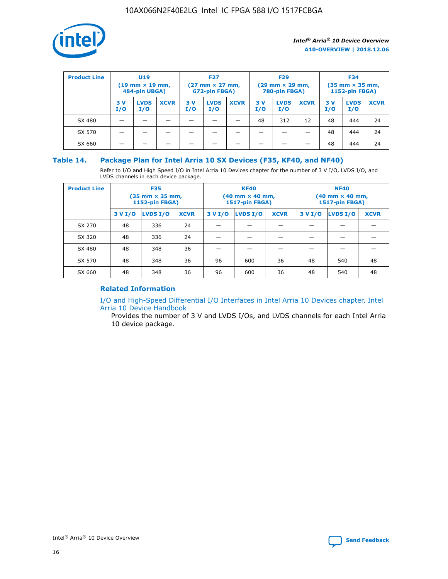

| <b>Product Line</b> | U <sub>19</sub><br>$(19 \text{ mm} \times 19 \text{ mm})$<br>484-pin UBGA) |                    | <b>F27</b><br>$(27 \text{ mm} \times 27 \text{ mm})$<br>672-pin FBGA) |           | <b>F29</b><br>$(29 \text{ mm} \times 29 \text{ mm})$<br>780-pin FBGA) |             |           | <b>F34</b><br>$(35 \text{ mm} \times 35 \text{ mm})$<br><b>1152-pin FBGA)</b> |             |           |                    |             |
|---------------------|----------------------------------------------------------------------------|--------------------|-----------------------------------------------------------------------|-----------|-----------------------------------------------------------------------|-------------|-----------|-------------------------------------------------------------------------------|-------------|-----------|--------------------|-------------|
|                     | 3 V<br>I/O                                                                 | <b>LVDS</b><br>I/O | <b>XCVR</b>                                                           | 3V<br>I/O | <b>LVDS</b><br>I/O                                                    | <b>XCVR</b> | 3V<br>I/O | <b>LVDS</b><br>I/O                                                            | <b>XCVR</b> | 3V<br>I/O | <b>LVDS</b><br>I/O | <b>XCVR</b> |
| SX 480              |                                                                            |                    |                                                                       |           |                                                                       |             | 48        | 312                                                                           | 12          | 48        | 444                | 24          |
| SX 570              |                                                                            |                    |                                                                       |           |                                                                       |             |           |                                                                               |             | 48        | 444                | 24          |
| SX 660              |                                                                            |                    |                                                                       |           |                                                                       |             |           |                                                                               |             | 48        | 444                | 24          |

## **Table 14. Package Plan for Intel Arria 10 SX Devices (F35, KF40, and NF40)**

Refer to I/O and High Speed I/O in Intel Arria 10 Devices chapter for the number of 3 V I/O, LVDS I/O, and LVDS channels in each device package.

| <b>Product Line</b> | <b>F35</b><br>$(35 \text{ mm} \times 35 \text{ mm})$<br><b>1152-pin FBGA)</b> |          |             |                                           | <b>KF40</b><br>(40 mm × 40 mm,<br>1517-pin FBGA) |    | <b>NF40</b><br>$(40 \text{ mm} \times 40 \text{ mm})$<br>1517-pin FBGA) |          |             |  |
|---------------------|-------------------------------------------------------------------------------|----------|-------------|-------------------------------------------|--------------------------------------------------|----|-------------------------------------------------------------------------|----------|-------------|--|
|                     | 3 V I/O                                                                       | LVDS I/O | <b>XCVR</b> | <b>LVDS I/O</b><br><b>XCVR</b><br>3 V I/O |                                                  |    | 3 V I/O                                                                 | LVDS I/O | <b>XCVR</b> |  |
| SX 270              | 48                                                                            | 336      | 24          |                                           |                                                  |    |                                                                         |          |             |  |
| SX 320              | 48                                                                            | 336      | 24          |                                           |                                                  |    |                                                                         |          |             |  |
| SX 480              | 48                                                                            | 348      | 36          |                                           |                                                  |    |                                                                         |          |             |  |
| SX 570              | 48                                                                            | 348      | 36          | 96                                        | 600                                              | 36 | 48                                                                      | 540      | 48          |  |
| SX 660              | 48                                                                            | 348      | 36          | 96                                        | 600                                              | 36 | 48                                                                      | 540      | 48          |  |

## **Related Information**

[I/O and High-Speed Differential I/O Interfaces in Intel Arria 10 Devices chapter, Intel](https://www.intel.com/content/www/us/en/programmable/documentation/sam1403482614086.html#sam1403482030321) [Arria 10 Device Handbook](https://www.intel.com/content/www/us/en/programmable/documentation/sam1403482614086.html#sam1403482030321)

Provides the number of 3 V and LVDS I/Os, and LVDS channels for each Intel Arria 10 device package.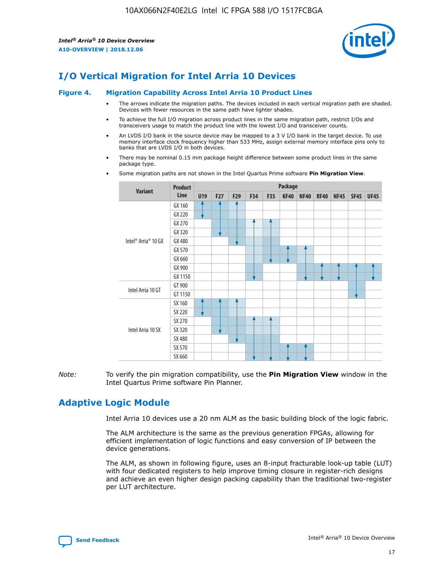

# **I/O Vertical Migration for Intel Arria 10 Devices**

#### **Figure 4. Migration Capability Across Intel Arria 10 Product Lines**

- The arrows indicate the migration paths. The devices included in each vertical migration path are shaded. Devices with fewer resources in the same path have lighter shades.
- To achieve the full I/O migration across product lines in the same migration path, restrict I/Os and transceivers usage to match the product line with the lowest I/O and transceiver counts.
- An LVDS I/O bank in the source device may be mapped to a 3 V I/O bank in the target device. To use memory interface clock frequency higher than 533 MHz, assign external memory interface pins only to banks that are LVDS I/O in both devices.
- There may be nominal 0.15 mm package height difference between some product lines in the same package type.
	- **Variant Product Line Package U19 F27 F29 F34 F35 KF40 NF40 RF40 NF45 SF45 UF45** Intel® Arria® 10 GX GX 160 GX 220 GX 270 GX 320 GX 480 GX 570 GX 660 GX 900 GX 1150 Intel Arria 10 GT GT 900 GT 1150 Intel Arria 10 SX SX 160 SX 220 SX 270 SX 320 SX 480 SX 570 SX 660
- Some migration paths are not shown in the Intel Quartus Prime software **Pin Migration View**.

*Note:* To verify the pin migration compatibility, use the **Pin Migration View** window in the Intel Quartus Prime software Pin Planner.

# **Adaptive Logic Module**

Intel Arria 10 devices use a 20 nm ALM as the basic building block of the logic fabric.

The ALM architecture is the same as the previous generation FPGAs, allowing for efficient implementation of logic functions and easy conversion of IP between the device generations.

The ALM, as shown in following figure, uses an 8-input fracturable look-up table (LUT) with four dedicated registers to help improve timing closure in register-rich designs and achieve an even higher design packing capability than the traditional two-register per LUT architecture.

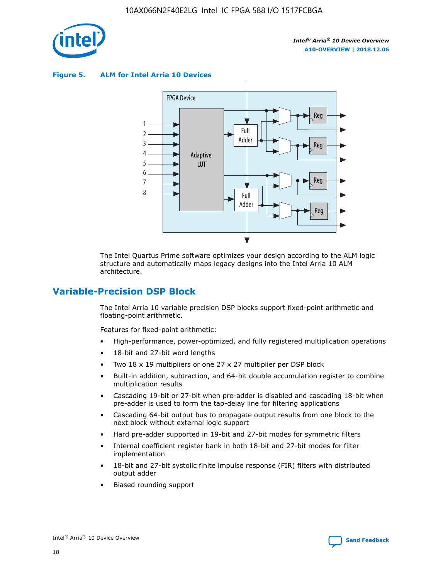

**Figure 5. ALM for Intel Arria 10 Devices**



The Intel Quartus Prime software optimizes your design according to the ALM logic structure and automatically maps legacy designs into the Intel Arria 10 ALM architecture.

## **Variable-Precision DSP Block**

The Intel Arria 10 variable precision DSP blocks support fixed-point arithmetic and floating-point arithmetic.

Features for fixed-point arithmetic:

- High-performance, power-optimized, and fully registered multiplication operations
- 18-bit and 27-bit word lengths
- Two 18 x 19 multipliers or one 27 x 27 multiplier per DSP block
- Built-in addition, subtraction, and 64-bit double accumulation register to combine multiplication results
- Cascading 19-bit or 27-bit when pre-adder is disabled and cascading 18-bit when pre-adder is used to form the tap-delay line for filtering applications
- Cascading 64-bit output bus to propagate output results from one block to the next block without external logic support
- Hard pre-adder supported in 19-bit and 27-bit modes for symmetric filters
- Internal coefficient register bank in both 18-bit and 27-bit modes for filter implementation
- 18-bit and 27-bit systolic finite impulse response (FIR) filters with distributed output adder
- Biased rounding support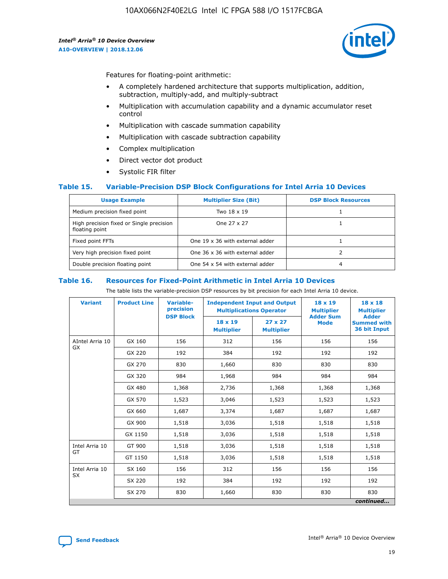

Features for floating-point arithmetic:

- A completely hardened architecture that supports multiplication, addition, subtraction, multiply-add, and multiply-subtract
- Multiplication with accumulation capability and a dynamic accumulator reset control
- Multiplication with cascade summation capability
- Multiplication with cascade subtraction capability
- Complex multiplication
- Direct vector dot product
- Systolic FIR filter

#### **Table 15. Variable-Precision DSP Block Configurations for Intel Arria 10 Devices**

| <b>Usage Example</b>                                       | <b>Multiplier Size (Bit)</b>    | <b>DSP Block Resources</b> |
|------------------------------------------------------------|---------------------------------|----------------------------|
| Medium precision fixed point                               | Two 18 x 19                     |                            |
| High precision fixed or Single precision<br>floating point | One 27 x 27                     |                            |
| Fixed point FFTs                                           | One 19 x 36 with external adder |                            |
| Very high precision fixed point                            | One 36 x 36 with external adder |                            |
| Double precision floating point                            | One 54 x 54 with external adder | 4                          |

#### **Table 16. Resources for Fixed-Point Arithmetic in Intel Arria 10 Devices**

The table lists the variable-precision DSP resources by bit precision for each Intel Arria 10 device.

| <b>Variant</b>  | <b>Product Line</b> | Variable-<br>precision<br><b>DSP Block</b> | <b>Independent Input and Output</b><br><b>Multiplications Operator</b> |                                     | 18 x 19<br><b>Multiplier</b><br><b>Adder Sum</b> | $18 \times 18$<br><b>Multiplier</b><br><b>Adder</b> |
|-----------------|---------------------|--------------------------------------------|------------------------------------------------------------------------|-------------------------------------|--------------------------------------------------|-----------------------------------------------------|
|                 |                     |                                            | 18 x 19<br><b>Multiplier</b>                                           | $27 \times 27$<br><b>Multiplier</b> | <b>Mode</b>                                      | <b>Summed with</b><br>36 bit Input                  |
| AIntel Arria 10 | GX 160              | 156                                        | 312                                                                    | 156                                 | 156                                              | 156                                                 |
| GX              | GX 220              | 192                                        | 384                                                                    | 192                                 | 192                                              | 192                                                 |
|                 | GX 270              | 830                                        | 1,660                                                                  | 830                                 | 830                                              | 830                                                 |
|                 | GX 320              | 984                                        | 1,968                                                                  | 984                                 | 984                                              | 984                                                 |
|                 | GX 480              | 1,368                                      | 2,736                                                                  | 1,368                               | 1,368                                            | 1,368                                               |
|                 | GX 570              | 1,523                                      | 3,046                                                                  | 1,523                               | 1,523                                            | 1,523                                               |
|                 | GX 660              | 1,687                                      | 3,374                                                                  | 1,687                               | 1,687                                            | 1,687                                               |
|                 | GX 900              | 1,518                                      | 3,036                                                                  | 1,518                               | 1,518                                            | 1,518                                               |
|                 | GX 1150             | 1,518                                      | 3,036                                                                  | 1,518                               | 1,518                                            | 1,518                                               |
| Intel Arria 10  | GT 900              | 1,518                                      | 3,036                                                                  | 1,518                               | 1,518                                            | 1,518                                               |
| GT              | GT 1150             | 1,518                                      | 3,036                                                                  | 1,518                               | 1,518                                            | 1,518                                               |
| Intel Arria 10  | SX 160              | 156                                        | 312                                                                    | 156                                 | 156                                              | 156                                                 |
| <b>SX</b>       | SX 220              | 192                                        | 384                                                                    | 192                                 | 192                                              | 192                                                 |
|                 | SX 270              | 830                                        | 1,660                                                                  | 830                                 | 830                                              | 830                                                 |
|                 |                     |                                            |                                                                        |                                     |                                                  | continued                                           |

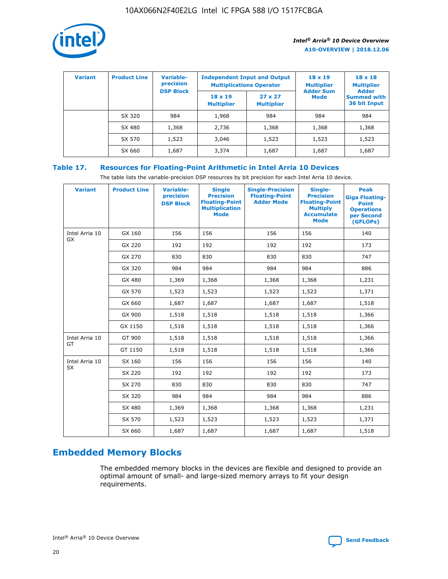

| <b>Variant</b> | <b>Product Line</b> | Variable-<br>precision | <b>Independent Input and Output</b><br><b>Multiplications Operator</b> |                                     | $18 \times 19$<br><b>Multiplier</b> | $18 \times 18$<br><b>Multiplier</b><br><b>Adder</b> |  |
|----------------|---------------------|------------------------|------------------------------------------------------------------------|-------------------------------------|-------------------------------------|-----------------------------------------------------|--|
|                |                     | <b>DSP Block</b>       | $18 \times 19$<br><b>Multiplier</b>                                    | $27 \times 27$<br><b>Multiplier</b> | <b>Adder Sum</b><br><b>Mode</b>     | <b>Summed with</b><br>36 bit Input                  |  |
|                | SX 320              | 984                    | 1,968                                                                  | 984                                 | 984                                 | 984                                                 |  |
|                | SX 480              | 1,368                  | 2,736                                                                  | 1,368                               | 1,368                               | 1,368                                               |  |
|                | SX 570              | 1,523                  | 3,046                                                                  | 1,523                               | 1,523                               | 1,523                                               |  |
|                | SX 660              | 1,687                  | 3,374                                                                  | 1,687                               | 1,687                               | 1,687                                               |  |

## **Table 17. Resources for Floating-Point Arithmetic in Intel Arria 10 Devices**

The table lists the variable-precision DSP resources by bit precision for each Intel Arria 10 device.

| <b>Variant</b> | <b>Product Line</b> | <b>Variable-</b><br>precision<br><b>DSP Block</b> | <b>Single</b><br><b>Precision</b><br><b>Floating-Point</b><br><b>Multiplication</b><br><b>Mode</b> | <b>Single-Precision</b><br><b>Floating-Point</b><br><b>Adder Mode</b> | Single-<br><b>Precision</b><br><b>Floating-Point</b><br><b>Multiply</b><br><b>Accumulate</b><br><b>Mode</b> | <b>Peak</b><br><b>Giga Floating-</b><br><b>Point</b><br><b>Operations</b><br>per Second<br>(GFLOPs) |
|----------------|---------------------|---------------------------------------------------|----------------------------------------------------------------------------------------------------|-----------------------------------------------------------------------|-------------------------------------------------------------------------------------------------------------|-----------------------------------------------------------------------------------------------------|
| Intel Arria 10 | GX 160              | 156                                               | 156                                                                                                | 156                                                                   | 156                                                                                                         | 140                                                                                                 |
| <b>GX</b>      | GX 220              | 192                                               | 192                                                                                                | 192                                                                   | 192                                                                                                         | 173                                                                                                 |
|                | GX 270              | 830                                               | 830                                                                                                | 830                                                                   | 830                                                                                                         | 747                                                                                                 |
|                | GX 320              | 984                                               | 984                                                                                                | 984                                                                   | 984                                                                                                         | 886                                                                                                 |
|                | GX 480              | 1,369                                             | 1,368                                                                                              | 1,368                                                                 | 1,368                                                                                                       | 1,231                                                                                               |
|                | GX 570              | 1,523                                             | 1,523                                                                                              | 1,523                                                                 | 1,523                                                                                                       | 1,371                                                                                               |
|                | GX 660              | 1,687                                             | 1,687                                                                                              | 1,687                                                                 | 1,687                                                                                                       | 1,518                                                                                               |
|                | GX 900              | 1,518                                             | 1,518                                                                                              | 1,518                                                                 | 1,518                                                                                                       | 1,366                                                                                               |
|                | GX 1150             | 1,518                                             | 1,518                                                                                              | 1,518                                                                 | 1,518                                                                                                       | 1,366                                                                                               |
| Intel Arria 10 | GT 900              | 1,518                                             | 1,518                                                                                              | 1,518                                                                 | 1,518                                                                                                       | 1,366                                                                                               |
| GT             | GT 1150             | 1,518                                             | 1,518                                                                                              | 1,518                                                                 | 1,518                                                                                                       | 1,366                                                                                               |
| Intel Arria 10 | SX 160              | 156                                               | 156                                                                                                | 156                                                                   | 156                                                                                                         | 140                                                                                                 |
| SX             | SX 220              | 192                                               | 192                                                                                                | 192                                                                   | 192                                                                                                         | 173                                                                                                 |
|                | SX 270              | 830                                               | 830                                                                                                | 830                                                                   | 830                                                                                                         | 747                                                                                                 |
|                | SX 320              | 984                                               | 984                                                                                                | 984                                                                   | 984                                                                                                         | 886                                                                                                 |
|                | SX 480              | 1,369                                             | 1,368                                                                                              | 1,368                                                                 | 1,368                                                                                                       | 1,231                                                                                               |
|                | SX 570              | 1,523                                             | 1,523                                                                                              | 1,523                                                                 | 1,523                                                                                                       | 1,371                                                                                               |
|                | SX 660              | 1,687                                             | 1,687                                                                                              | 1,687                                                                 | 1,687                                                                                                       | 1,518                                                                                               |

# **Embedded Memory Blocks**

The embedded memory blocks in the devices are flexible and designed to provide an optimal amount of small- and large-sized memory arrays to fit your design requirements.

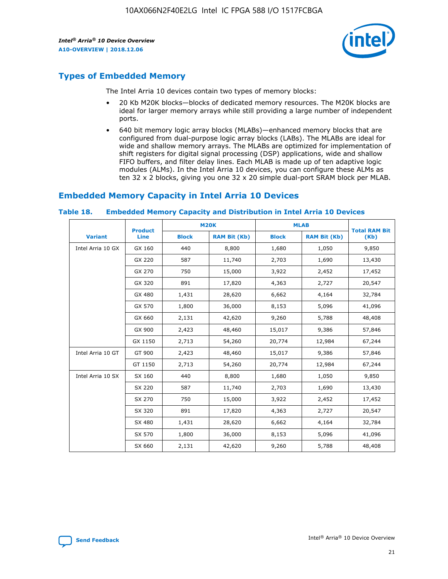

# **Types of Embedded Memory**

The Intel Arria 10 devices contain two types of memory blocks:

- 20 Kb M20K blocks—blocks of dedicated memory resources. The M20K blocks are ideal for larger memory arrays while still providing a large number of independent ports.
- 640 bit memory logic array blocks (MLABs)—enhanced memory blocks that are configured from dual-purpose logic array blocks (LABs). The MLABs are ideal for wide and shallow memory arrays. The MLABs are optimized for implementation of shift registers for digital signal processing (DSP) applications, wide and shallow FIFO buffers, and filter delay lines. Each MLAB is made up of ten adaptive logic modules (ALMs). In the Intel Arria 10 devices, you can configure these ALMs as ten 32 x 2 blocks, giving you one 32 x 20 simple dual-port SRAM block per MLAB.

# **Embedded Memory Capacity in Intel Arria 10 Devices**

|                   | <b>Product</b> |              | <b>M20K</b>         | <b>MLAB</b>  |                     | <b>Total RAM Bit</b> |
|-------------------|----------------|--------------|---------------------|--------------|---------------------|----------------------|
| <b>Variant</b>    | <b>Line</b>    | <b>Block</b> | <b>RAM Bit (Kb)</b> | <b>Block</b> | <b>RAM Bit (Kb)</b> | (Kb)                 |
| Intel Arria 10 GX | GX 160         | 440          | 8,800               | 1,680        | 1,050               | 9,850                |
|                   | GX 220         | 587          | 11,740              | 2,703        | 1,690               | 13,430               |
|                   | GX 270         | 750          | 15,000              | 3,922        | 2,452               | 17,452               |
|                   | GX 320         | 891          | 17,820              | 4,363        | 2,727               | 20,547               |
|                   | GX 480         | 1,431        | 28,620              | 6,662        | 4,164               | 32,784               |
|                   | GX 570         | 1,800        | 36,000              | 8,153        | 5,096               | 41,096               |
|                   | GX 660         | 2,131        | 42,620              | 9,260        | 5,788               | 48,408               |
|                   | GX 900         | 2,423        | 48,460              | 15,017       | 9,386               | 57,846               |
|                   | GX 1150        | 2,713        | 54,260              | 20,774       | 12,984              | 67,244               |
| Intel Arria 10 GT | GT 900         | 2,423        | 48,460              | 15,017       | 9,386               | 57,846               |
|                   | GT 1150        | 2,713        | 54,260              | 20,774       | 12,984              | 67,244               |
| Intel Arria 10 SX | SX 160         | 440          | 8,800               | 1,680        | 1,050               | 9,850                |
|                   | SX 220         | 587          | 11,740              | 2,703        | 1,690               | 13,430               |
|                   | SX 270         | 750          | 15,000              | 3,922        | 2,452               | 17,452               |
|                   | SX 320         | 891          | 17,820              | 4,363        | 2,727               | 20,547               |
|                   | SX 480         | 1,431        | 28,620              | 6,662        | 4,164               | 32,784               |
|                   | SX 570         | 1,800        | 36,000              | 8,153        | 5,096               | 41,096               |
|                   | SX 660         | 2,131        | 42,620              | 9,260        | 5,788               | 48,408               |

#### **Table 18. Embedded Memory Capacity and Distribution in Intel Arria 10 Devices**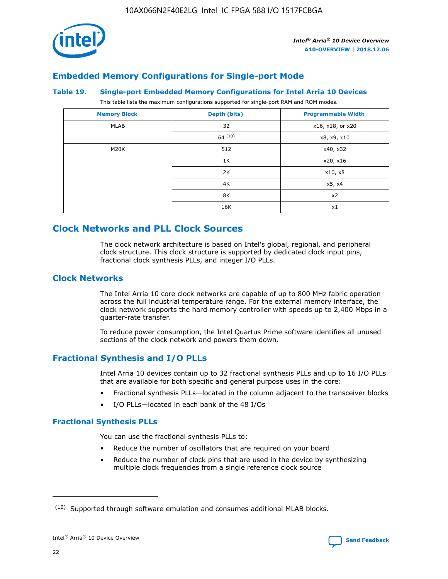

## **Embedded Memory Configurations for Single-port Mode**

#### **Table 19. Single-port Embedded Memory Configurations for Intel Arria 10 Devices**

This table lists the maximum configurations supported for single-port RAM and ROM modes.

| <b>Memory Block</b> | Depth (bits) | <b>Programmable Width</b> |
|---------------------|--------------|---------------------------|
| MLAB                | 32           | x16, x18, or x20          |
|                     | 64(10)       | x8, x9, x10               |
| M20K                | 512          | x40, x32                  |
|                     | 1K           | x20, x16                  |
|                     | 2K           | x10, x8                   |
|                     | 4K           | x5, x4                    |
|                     | 8K           | x2                        |
|                     | 16K          | x1                        |

# **Clock Networks and PLL Clock Sources**

The clock network architecture is based on Intel's global, regional, and peripheral clock structure. This clock structure is supported by dedicated clock input pins, fractional clock synthesis PLLs, and integer I/O PLLs.

## **Clock Networks**

The Intel Arria 10 core clock networks are capable of up to 800 MHz fabric operation across the full industrial temperature range. For the external memory interface, the clock network supports the hard memory controller with speeds up to 2,400 Mbps in a quarter-rate transfer.

To reduce power consumption, the Intel Quartus Prime software identifies all unused sections of the clock network and powers them down.

## **Fractional Synthesis and I/O PLLs**

Intel Arria 10 devices contain up to 32 fractional synthesis PLLs and up to 16 I/O PLLs that are available for both specific and general purpose uses in the core:

- Fractional synthesis PLLs—located in the column adjacent to the transceiver blocks
- I/O PLLs—located in each bank of the 48 I/Os

## **Fractional Synthesis PLLs**

You can use the fractional synthesis PLLs to:

- Reduce the number of oscillators that are required on your board
- Reduce the number of clock pins that are used in the device by synthesizing multiple clock frequencies from a single reference clock source

<sup>(10)</sup> Supported through software emulation and consumes additional MLAB blocks.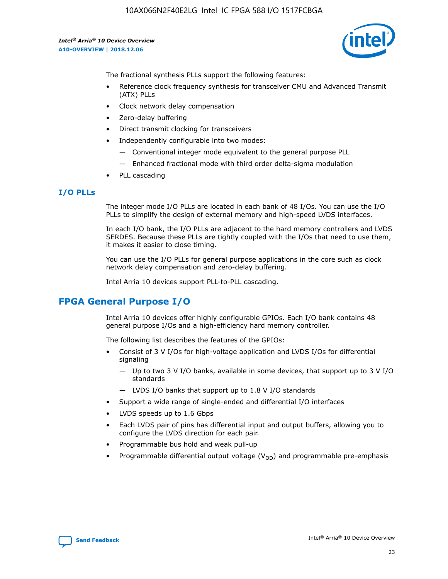

The fractional synthesis PLLs support the following features:

- Reference clock frequency synthesis for transceiver CMU and Advanced Transmit (ATX) PLLs
- Clock network delay compensation
- Zero-delay buffering
- Direct transmit clocking for transceivers
- Independently configurable into two modes:
	- Conventional integer mode equivalent to the general purpose PLL
	- Enhanced fractional mode with third order delta-sigma modulation
- PLL cascading

## **I/O PLLs**

The integer mode I/O PLLs are located in each bank of 48 I/Os. You can use the I/O PLLs to simplify the design of external memory and high-speed LVDS interfaces.

In each I/O bank, the I/O PLLs are adjacent to the hard memory controllers and LVDS SERDES. Because these PLLs are tightly coupled with the I/Os that need to use them, it makes it easier to close timing.

You can use the I/O PLLs for general purpose applications in the core such as clock network delay compensation and zero-delay buffering.

Intel Arria 10 devices support PLL-to-PLL cascading.

# **FPGA General Purpose I/O**

Intel Arria 10 devices offer highly configurable GPIOs. Each I/O bank contains 48 general purpose I/Os and a high-efficiency hard memory controller.

The following list describes the features of the GPIOs:

- Consist of 3 V I/Os for high-voltage application and LVDS I/Os for differential signaling
	- Up to two 3 V I/O banks, available in some devices, that support up to 3 V I/O standards
	- LVDS I/O banks that support up to 1.8 V I/O standards
- Support a wide range of single-ended and differential I/O interfaces
- LVDS speeds up to 1.6 Gbps
- Each LVDS pair of pins has differential input and output buffers, allowing you to configure the LVDS direction for each pair.
- Programmable bus hold and weak pull-up
- Programmable differential output voltage  $(V_{OD})$  and programmable pre-emphasis

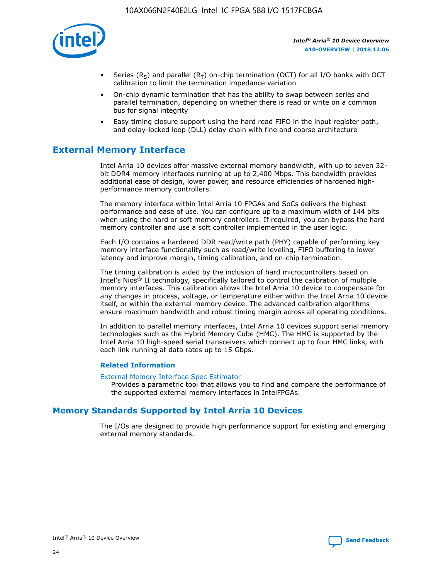

- Series (R<sub>S</sub>) and parallel (R<sub>T</sub>) on-chip termination (OCT) for all I/O banks with OCT calibration to limit the termination impedance variation
- On-chip dynamic termination that has the ability to swap between series and parallel termination, depending on whether there is read or write on a common bus for signal integrity
- Easy timing closure support using the hard read FIFO in the input register path, and delay-locked loop (DLL) delay chain with fine and coarse architecture

# **External Memory Interface**

Intel Arria 10 devices offer massive external memory bandwidth, with up to seven 32 bit DDR4 memory interfaces running at up to 2,400 Mbps. This bandwidth provides additional ease of design, lower power, and resource efficiencies of hardened highperformance memory controllers.

The memory interface within Intel Arria 10 FPGAs and SoCs delivers the highest performance and ease of use. You can configure up to a maximum width of 144 bits when using the hard or soft memory controllers. If required, you can bypass the hard memory controller and use a soft controller implemented in the user logic.

Each I/O contains a hardened DDR read/write path (PHY) capable of performing key memory interface functionality such as read/write leveling, FIFO buffering to lower latency and improve margin, timing calibration, and on-chip termination.

The timing calibration is aided by the inclusion of hard microcontrollers based on Intel's Nios® II technology, specifically tailored to control the calibration of multiple memory interfaces. This calibration allows the Intel Arria 10 device to compensate for any changes in process, voltage, or temperature either within the Intel Arria 10 device itself, or within the external memory device. The advanced calibration algorithms ensure maximum bandwidth and robust timing margin across all operating conditions.

In addition to parallel memory interfaces, Intel Arria 10 devices support serial memory technologies such as the Hybrid Memory Cube (HMC). The HMC is supported by the Intel Arria 10 high-speed serial transceivers which connect up to four HMC links, with each link running at data rates up to 15 Gbps.

#### **Related Information**

#### [External Memory Interface Spec Estimator](http://www.altera.com/technology/memory/estimator/mem-emif-index.html)

Provides a parametric tool that allows you to find and compare the performance of the supported external memory interfaces in IntelFPGAs.

## **Memory Standards Supported by Intel Arria 10 Devices**

The I/Os are designed to provide high performance support for existing and emerging external memory standards.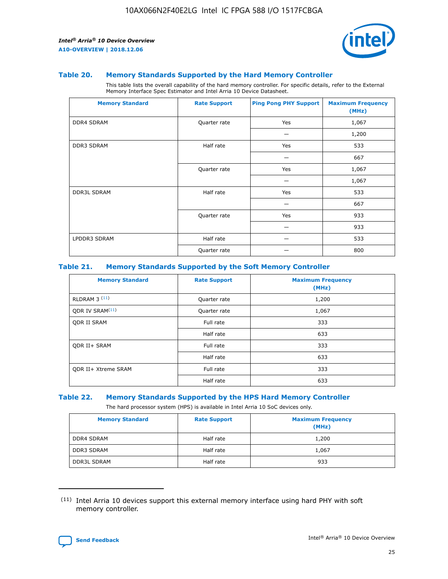

#### **Table 20. Memory Standards Supported by the Hard Memory Controller**

This table lists the overall capability of the hard memory controller. For specific details, refer to the External Memory Interface Spec Estimator and Intel Arria 10 Device Datasheet.

| <b>Memory Standard</b> | <b>Rate Support</b> | <b>Ping Pong PHY Support</b> | <b>Maximum Frequency</b><br>(MHz) |
|------------------------|---------------------|------------------------------|-----------------------------------|
| <b>DDR4 SDRAM</b>      | Quarter rate        | Yes                          | 1,067                             |
|                        |                     |                              | 1,200                             |
| DDR3 SDRAM             | Half rate           | Yes                          | 533                               |
|                        |                     |                              | 667                               |
|                        | Quarter rate        | Yes                          | 1,067                             |
|                        |                     |                              | 1,067                             |
| <b>DDR3L SDRAM</b>     | Half rate           | Yes                          | 533                               |
|                        |                     |                              | 667                               |
|                        | Quarter rate        | Yes                          | 933                               |
|                        |                     |                              | 933                               |
| LPDDR3 SDRAM           | Half rate           |                              | 533                               |
|                        | Quarter rate        |                              | 800                               |

#### **Table 21. Memory Standards Supported by the Soft Memory Controller**

| <b>Memory Standard</b>      | <b>Rate Support</b> | <b>Maximum Frequency</b><br>(MHz) |
|-----------------------------|---------------------|-----------------------------------|
| <b>RLDRAM 3 (11)</b>        | Quarter rate        | 1,200                             |
| ODR IV SRAM <sup>(11)</sup> | Quarter rate        | 1,067                             |
| <b>ODR II SRAM</b>          | Full rate           | 333                               |
|                             | Half rate           | 633                               |
| <b>ODR II+ SRAM</b>         | Full rate           | 333                               |
|                             | Half rate           | 633                               |
| <b>ODR II+ Xtreme SRAM</b>  | Full rate           | 333                               |
|                             | Half rate           | 633                               |

#### **Table 22. Memory Standards Supported by the HPS Hard Memory Controller**

The hard processor system (HPS) is available in Intel Arria 10 SoC devices only.

| <b>Memory Standard</b> | <b>Rate Support</b> | <b>Maximum Frequency</b><br>(MHz) |
|------------------------|---------------------|-----------------------------------|
| <b>DDR4 SDRAM</b>      | Half rate           | 1,200                             |
| <b>DDR3 SDRAM</b>      | Half rate           | 1,067                             |
| <b>DDR3L SDRAM</b>     | Half rate           | 933                               |

<sup>(11)</sup> Intel Arria 10 devices support this external memory interface using hard PHY with soft memory controller.

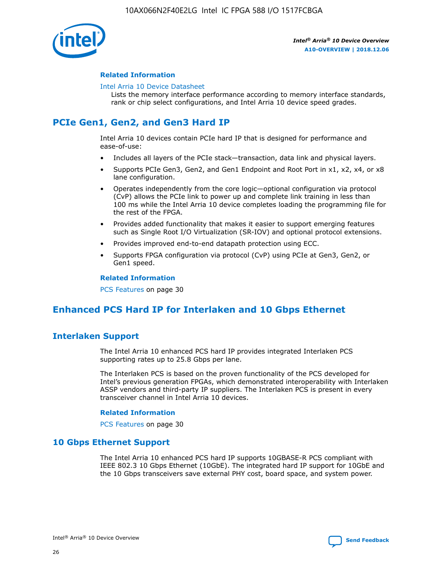

#### **Related Information**

#### [Intel Arria 10 Device Datasheet](https://www.intel.com/content/www/us/en/programmable/documentation/mcn1413182292568.html#mcn1413182153340)

Lists the memory interface performance according to memory interface standards, rank or chip select configurations, and Intel Arria 10 device speed grades.

# **PCIe Gen1, Gen2, and Gen3 Hard IP**

Intel Arria 10 devices contain PCIe hard IP that is designed for performance and ease-of-use:

- Includes all layers of the PCIe stack—transaction, data link and physical layers.
- Supports PCIe Gen3, Gen2, and Gen1 Endpoint and Root Port in x1, x2, x4, or x8 lane configuration.
- Operates independently from the core logic—optional configuration via protocol (CvP) allows the PCIe link to power up and complete link training in less than 100 ms while the Intel Arria 10 device completes loading the programming file for the rest of the FPGA.
- Provides added functionality that makes it easier to support emerging features such as Single Root I/O Virtualization (SR-IOV) and optional protocol extensions.
- Provides improved end-to-end datapath protection using ECC.
- Supports FPGA configuration via protocol (CvP) using PCIe at Gen3, Gen2, or Gen1 speed.

#### **Related Information**

PCS Features on page 30

# **Enhanced PCS Hard IP for Interlaken and 10 Gbps Ethernet**

## **Interlaken Support**

The Intel Arria 10 enhanced PCS hard IP provides integrated Interlaken PCS supporting rates up to 25.8 Gbps per lane.

The Interlaken PCS is based on the proven functionality of the PCS developed for Intel's previous generation FPGAs, which demonstrated interoperability with Interlaken ASSP vendors and third-party IP suppliers. The Interlaken PCS is present in every transceiver channel in Intel Arria 10 devices.

#### **Related Information**

PCS Features on page 30

## **10 Gbps Ethernet Support**

The Intel Arria 10 enhanced PCS hard IP supports 10GBASE-R PCS compliant with IEEE 802.3 10 Gbps Ethernet (10GbE). The integrated hard IP support for 10GbE and the 10 Gbps transceivers save external PHY cost, board space, and system power.

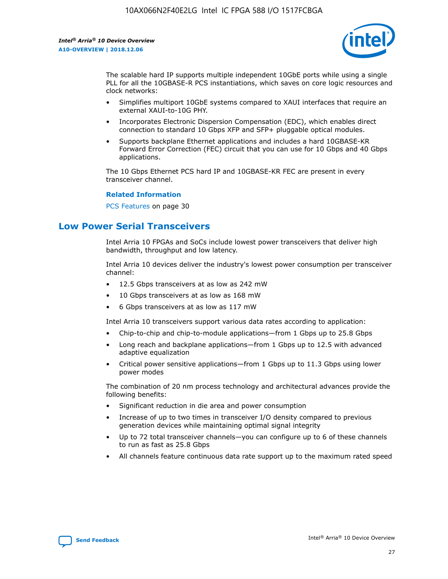

The scalable hard IP supports multiple independent 10GbE ports while using a single PLL for all the 10GBASE-R PCS instantiations, which saves on core logic resources and clock networks:

- Simplifies multiport 10GbE systems compared to XAUI interfaces that require an external XAUI-to-10G PHY.
- Incorporates Electronic Dispersion Compensation (EDC), which enables direct connection to standard 10 Gbps XFP and SFP+ pluggable optical modules.
- Supports backplane Ethernet applications and includes a hard 10GBASE-KR Forward Error Correction (FEC) circuit that you can use for 10 Gbps and 40 Gbps applications.

The 10 Gbps Ethernet PCS hard IP and 10GBASE-KR FEC are present in every transceiver channel.

#### **Related Information**

PCS Features on page 30

# **Low Power Serial Transceivers**

Intel Arria 10 FPGAs and SoCs include lowest power transceivers that deliver high bandwidth, throughput and low latency.

Intel Arria 10 devices deliver the industry's lowest power consumption per transceiver channel:

- 12.5 Gbps transceivers at as low as 242 mW
- 10 Gbps transceivers at as low as 168 mW
- 6 Gbps transceivers at as low as 117 mW

Intel Arria 10 transceivers support various data rates according to application:

- Chip-to-chip and chip-to-module applications—from 1 Gbps up to 25.8 Gbps
- Long reach and backplane applications—from 1 Gbps up to 12.5 with advanced adaptive equalization
- Critical power sensitive applications—from 1 Gbps up to 11.3 Gbps using lower power modes

The combination of 20 nm process technology and architectural advances provide the following benefits:

- Significant reduction in die area and power consumption
- Increase of up to two times in transceiver I/O density compared to previous generation devices while maintaining optimal signal integrity
- Up to 72 total transceiver channels—you can configure up to 6 of these channels to run as fast as 25.8 Gbps
- All channels feature continuous data rate support up to the maximum rated speed

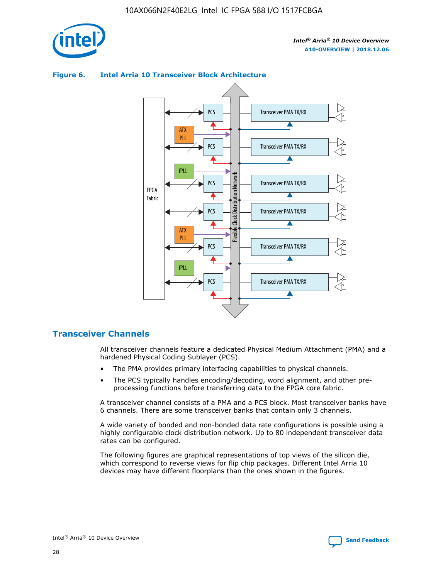

## Transceiver PMA TX/RX PCS ATX PLL Transceiver PMA TX/RX PCS fPLL Network Flexible Clock Distribution Network PCS Transceiver PMA TX/RX FPGA **Clock Distribution** Fabric PCS Transceiver PMA TX/RX ATX Flexible PLL PCS Transceiver PMA TX/RX ▲ fPLL Transceiver PMA TX/RX PCS 4

## **Figure 6. Intel Arria 10 Transceiver Block Architecture**

## **Transceiver Channels**

All transceiver channels feature a dedicated Physical Medium Attachment (PMA) and a hardened Physical Coding Sublayer (PCS).

- The PMA provides primary interfacing capabilities to physical channels.
- The PCS typically handles encoding/decoding, word alignment, and other preprocessing functions before transferring data to the FPGA core fabric.

A transceiver channel consists of a PMA and a PCS block. Most transceiver banks have 6 channels. There are some transceiver banks that contain only 3 channels.

A wide variety of bonded and non-bonded data rate configurations is possible using a highly configurable clock distribution network. Up to 80 independent transceiver data rates can be configured.

The following figures are graphical representations of top views of the silicon die, which correspond to reverse views for flip chip packages. Different Intel Arria 10 devices may have different floorplans than the ones shown in the figures.

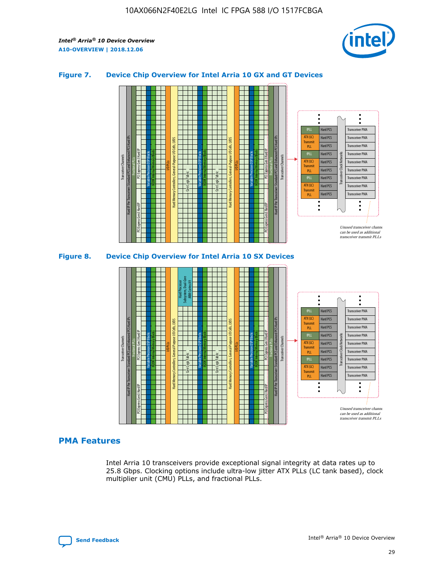

## **Figure 7. Device Chip Overview for Intel Arria 10 GX and GT Devices**





## **PMA Features**

Intel Arria 10 transceivers provide exceptional signal integrity at data rates up to 25.8 Gbps. Clocking options include ultra-low jitter ATX PLLs (LC tank based), clock multiplier unit (CMU) PLLs, and fractional PLLs.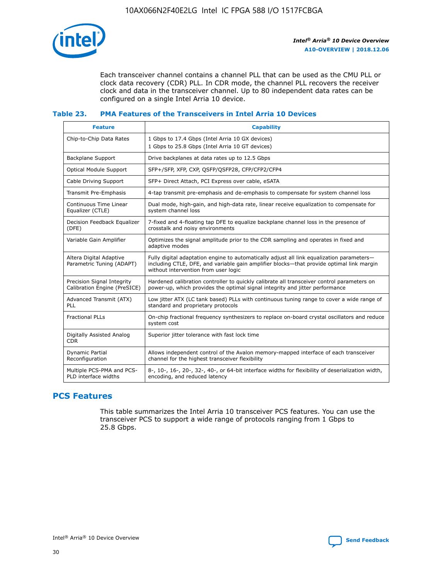

Each transceiver channel contains a channel PLL that can be used as the CMU PLL or clock data recovery (CDR) PLL. In CDR mode, the channel PLL recovers the receiver clock and data in the transceiver channel. Up to 80 independent data rates can be configured on a single Intel Arria 10 device.

## **Table 23. PMA Features of the Transceivers in Intel Arria 10 Devices**

| <b>Feature</b>                                             | <b>Capability</b>                                                                                                                                                                                                             |
|------------------------------------------------------------|-------------------------------------------------------------------------------------------------------------------------------------------------------------------------------------------------------------------------------|
| Chip-to-Chip Data Rates                                    | 1 Gbps to 17.4 Gbps (Intel Arria 10 GX devices)<br>1 Gbps to 25.8 Gbps (Intel Arria 10 GT devices)                                                                                                                            |
| <b>Backplane Support</b>                                   | Drive backplanes at data rates up to 12.5 Gbps                                                                                                                                                                                |
| <b>Optical Module Support</b>                              | SFP+/SFP, XFP, CXP, QSFP/QSFP28, CFP/CFP2/CFP4                                                                                                                                                                                |
| Cable Driving Support                                      | SFP+ Direct Attach, PCI Express over cable, eSATA                                                                                                                                                                             |
| Transmit Pre-Emphasis                                      | 4-tap transmit pre-emphasis and de-emphasis to compensate for system channel loss                                                                                                                                             |
| Continuous Time Linear<br>Equalizer (CTLE)                 | Dual mode, high-gain, and high-data rate, linear receive equalization to compensate for<br>system channel loss                                                                                                                |
| Decision Feedback Equalizer<br>(DFE)                       | 7-fixed and 4-floating tap DFE to equalize backplane channel loss in the presence of<br>crosstalk and noisy environments                                                                                                      |
| Variable Gain Amplifier                                    | Optimizes the signal amplitude prior to the CDR sampling and operates in fixed and<br>adaptive modes                                                                                                                          |
| Altera Digital Adaptive<br>Parametric Tuning (ADAPT)       | Fully digital adaptation engine to automatically adjust all link equalization parameters-<br>including CTLE, DFE, and variable gain amplifier blocks-that provide optimal link margin<br>without intervention from user logic |
| Precision Signal Integrity<br>Calibration Engine (PreSICE) | Hardened calibration controller to quickly calibrate all transceiver control parameters on<br>power-up, which provides the optimal signal integrity and jitter performance                                                    |
| Advanced Transmit (ATX)<br>PLL                             | Low jitter ATX (LC tank based) PLLs with continuous tuning range to cover a wide range of<br>standard and proprietary protocols                                                                                               |
| <b>Fractional PLLs</b>                                     | On-chip fractional frequency synthesizers to replace on-board crystal oscillators and reduce<br>system cost                                                                                                                   |
| Digitally Assisted Analog<br><b>CDR</b>                    | Superior jitter tolerance with fast lock time                                                                                                                                                                                 |
| <b>Dynamic Partial</b><br>Reconfiguration                  | Allows independent control of the Avalon memory-mapped interface of each transceiver<br>channel for the highest transceiver flexibility                                                                                       |
| Multiple PCS-PMA and PCS-<br>PLD interface widths          | 8-, 10-, 16-, 20-, 32-, 40-, or 64-bit interface widths for flexibility of deserialization width,<br>encoding, and reduced latency                                                                                            |

## **PCS Features**

This table summarizes the Intel Arria 10 transceiver PCS features. You can use the transceiver PCS to support a wide range of protocols ranging from 1 Gbps to 25.8 Gbps.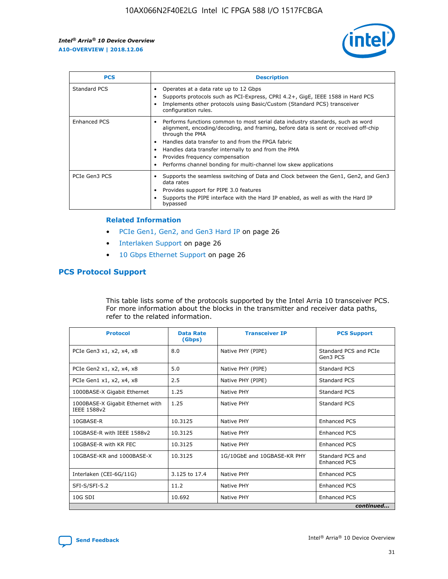

| <b>PCS</b>    | <b>Description</b>                                                                                                                                                                                                                                                                                                                                                                                             |
|---------------|----------------------------------------------------------------------------------------------------------------------------------------------------------------------------------------------------------------------------------------------------------------------------------------------------------------------------------------------------------------------------------------------------------------|
| Standard PCS  | Operates at a data rate up to 12 Gbps<br>Supports protocols such as PCI-Express, CPRI 4.2+, GigE, IEEE 1588 in Hard PCS<br>Implements other protocols using Basic/Custom (Standard PCS) transceiver<br>configuration rules.                                                                                                                                                                                    |
| Enhanced PCS  | Performs functions common to most serial data industry standards, such as word<br>alignment, encoding/decoding, and framing, before data is sent or received off-chip<br>through the PMA<br>• Handles data transfer to and from the FPGA fabric<br>Handles data transfer internally to and from the PMA<br>Provides frequency compensation<br>Performs channel bonding for multi-channel low skew applications |
| PCIe Gen3 PCS | Supports the seamless switching of Data and Clock between the Gen1, Gen2, and Gen3<br>data rates<br>Provides support for PIPE 3.0 features<br>Supports the PIPE interface with the Hard IP enabled, as well as with the Hard IP<br>bypassed                                                                                                                                                                    |

#### **Related Information**

- PCIe Gen1, Gen2, and Gen3 Hard IP on page 26
- Interlaken Support on page 26
- 10 Gbps Ethernet Support on page 26

## **PCS Protocol Support**

This table lists some of the protocols supported by the Intel Arria 10 transceiver PCS. For more information about the blocks in the transmitter and receiver data paths, refer to the related information.

| <b>Protocol</b>                                 | <b>Data Rate</b><br>(Gbps) | <b>Transceiver IP</b>       | <b>PCS Support</b>                      |
|-------------------------------------------------|----------------------------|-----------------------------|-----------------------------------------|
| PCIe Gen3 x1, x2, x4, x8                        | 8.0                        | Native PHY (PIPE)           | Standard PCS and PCIe<br>Gen3 PCS       |
| PCIe Gen2 x1, x2, x4, x8                        | 5.0                        | Native PHY (PIPE)           | <b>Standard PCS</b>                     |
| PCIe Gen1 x1, x2, x4, x8                        | 2.5                        | Native PHY (PIPE)           | Standard PCS                            |
| 1000BASE-X Gigabit Ethernet                     | 1.25                       | Native PHY                  | <b>Standard PCS</b>                     |
| 1000BASE-X Gigabit Ethernet with<br>IEEE 1588v2 | 1.25                       | Native PHY                  | Standard PCS                            |
| 10GBASE-R                                       | 10.3125                    | Native PHY                  | <b>Enhanced PCS</b>                     |
| 10GBASE-R with IEEE 1588v2                      | 10.3125                    | Native PHY                  | <b>Enhanced PCS</b>                     |
| 10GBASE-R with KR FEC                           | 10.3125                    | Native PHY                  | <b>Enhanced PCS</b>                     |
| 10GBASE-KR and 1000BASE-X                       | 10.3125                    | 1G/10GbE and 10GBASE-KR PHY | Standard PCS and<br><b>Enhanced PCS</b> |
| Interlaken (CEI-6G/11G)                         | 3.125 to 17.4              | Native PHY                  | <b>Enhanced PCS</b>                     |
| SFI-S/SFI-5.2                                   | 11.2                       | Native PHY                  | <b>Enhanced PCS</b>                     |
| $10G$ SDI                                       | 10.692                     | Native PHY                  | <b>Enhanced PCS</b>                     |
|                                                 |                            |                             | continued                               |



**[Send Feedback](mailto:FPGAtechdocfeedback@intel.com?subject=Feedback%20on%20Intel%20Arria%2010%20Device%20Overview%20(A10-OVERVIEW%202018.12.06)&body=We%20appreciate%20your%20feedback.%20In%20your%20comments,%20also%20specify%20the%20page%20number%20or%20paragraph.%20Thank%20you.) Intel®** Arria<sup>®</sup> 10 Device Overview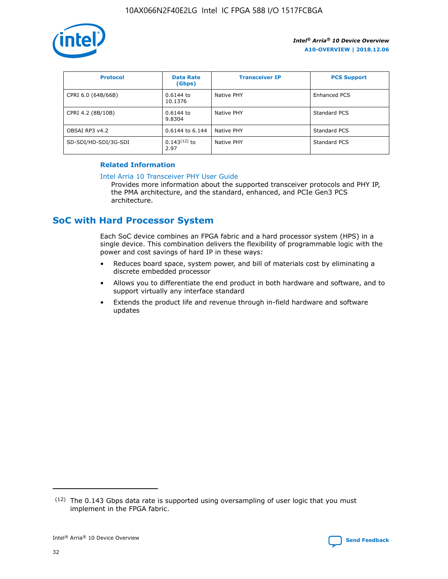

| <b>Protocol</b>      | <b>Data Rate</b><br>(Gbps) | <b>Transceiver IP</b> | <b>PCS Support</b> |
|----------------------|----------------------------|-----------------------|--------------------|
| CPRI 6.0 (64B/66B)   | 0.6144 to<br>10.1376       | Native PHY            | Enhanced PCS       |
| CPRI 4.2 (8B/10B)    | 0.6144 to<br>9.8304        | Native PHY            | Standard PCS       |
| OBSAI RP3 v4.2       | 0.6144 to 6.144            | Native PHY            | Standard PCS       |
| SD-SDI/HD-SDI/3G-SDI | $0.143(12)$ to<br>2.97     | Native PHY            | Standard PCS       |

## **Related Information**

#### [Intel Arria 10 Transceiver PHY User Guide](https://www.intel.com/content/www/us/en/programmable/documentation/nik1398707230472.html#nik1398707091164)

Provides more information about the supported transceiver protocols and PHY IP, the PMA architecture, and the standard, enhanced, and PCIe Gen3 PCS architecture.

# **SoC with Hard Processor System**

Each SoC device combines an FPGA fabric and a hard processor system (HPS) in a single device. This combination delivers the flexibility of programmable logic with the power and cost savings of hard IP in these ways:

- Reduces board space, system power, and bill of materials cost by eliminating a discrete embedded processor
- Allows you to differentiate the end product in both hardware and software, and to support virtually any interface standard
- Extends the product life and revenue through in-field hardware and software updates

 $(12)$  The 0.143 Gbps data rate is supported using oversampling of user logic that you must implement in the FPGA fabric.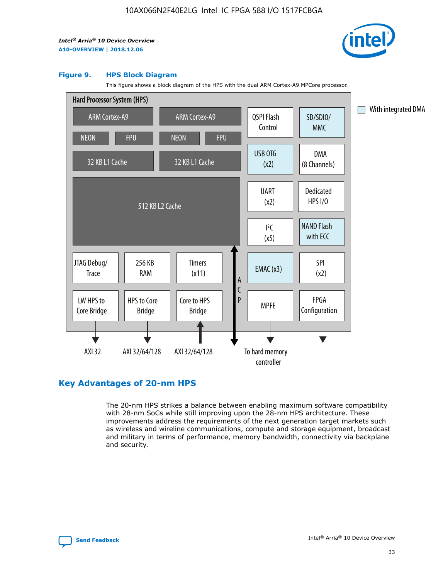

#### **Figure 9. HPS Block Diagram**

This figure shows a block diagram of the HPS with the dual ARM Cortex-A9 MPCore processor.



## **Key Advantages of 20-nm HPS**

The 20-nm HPS strikes a balance between enabling maximum software compatibility with 28-nm SoCs while still improving upon the 28-nm HPS architecture. These improvements address the requirements of the next generation target markets such as wireless and wireline communications, compute and storage equipment, broadcast and military in terms of performance, memory bandwidth, connectivity via backplane and security.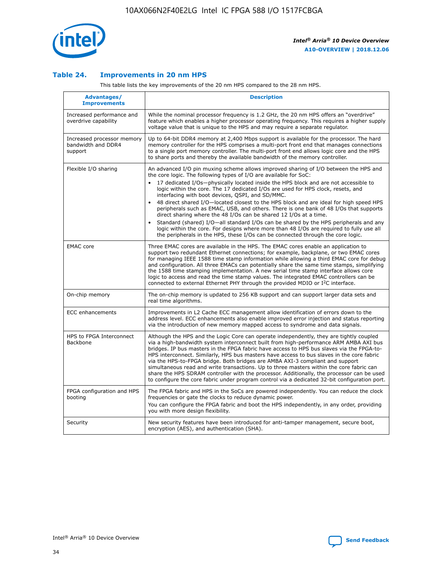

## **Table 24. Improvements in 20 nm HPS**

This table lists the key improvements of the 20 nm HPS compared to the 28 nm HPS.

| Advantages/<br><b>Improvements</b>                          | <b>Description</b>                                                                                                                                                                                                                                                                                                                                                                                                                                                                                                                                                                                                                                                                                                                                                                                                                                                                                                                   |
|-------------------------------------------------------------|--------------------------------------------------------------------------------------------------------------------------------------------------------------------------------------------------------------------------------------------------------------------------------------------------------------------------------------------------------------------------------------------------------------------------------------------------------------------------------------------------------------------------------------------------------------------------------------------------------------------------------------------------------------------------------------------------------------------------------------------------------------------------------------------------------------------------------------------------------------------------------------------------------------------------------------|
| Increased performance and<br>overdrive capability           | While the nominal processor frequency is 1.2 GHz, the 20 nm HPS offers an "overdrive"<br>feature which enables a higher processor operating frequency. This requires a higher supply<br>voltage value that is unique to the HPS and may require a separate requlator.                                                                                                                                                                                                                                                                                                                                                                                                                                                                                                                                                                                                                                                                |
| Increased processor memory<br>bandwidth and DDR4<br>support | Up to 64-bit DDR4 memory at 2,400 Mbps support is available for the processor. The hard<br>memory controller for the HPS comprises a multi-port front end that manages connections<br>to a single port memory controller. The multi-port front end allows logic core and the HPS<br>to share ports and thereby the available bandwidth of the memory controller.                                                                                                                                                                                                                                                                                                                                                                                                                                                                                                                                                                     |
| Flexible I/O sharing                                        | An advanced I/O pin muxing scheme allows improved sharing of I/O between the HPS and<br>the core logic. The following types of I/O are available for SoC:<br>17 dedicated I/Os-physically located inside the HPS block and are not accessible to<br>logic within the core. The 17 dedicated I/Os are used for HPS clock, resets, and<br>interfacing with boot devices, QSPI, and SD/MMC.<br>48 direct shared I/O-located closest to the HPS block and are ideal for high speed HPS<br>peripherals such as EMAC, USB, and others. There is one bank of 48 I/Os that supports<br>direct sharing where the 48 I/Os can be shared 12 I/Os at a time.<br>Standard (shared) I/O-all standard I/Os can be shared by the HPS peripherals and any<br>$\bullet$<br>logic within the core. For designs where more than 48 I/Os are required to fully use all<br>the peripherals in the HPS, these I/Os can be connected through the core logic. |
| <b>EMAC</b> core                                            | Three EMAC cores are available in the HPS. The EMAC cores enable an application to<br>support two redundant Ethernet connections; for example, backplane, or two EMAC cores<br>for managing IEEE 1588 time stamp information while allowing a third EMAC core for debug<br>and configuration. All three EMACs can potentially share the same time stamps, simplifying<br>the 1588 time stamping implementation. A new serial time stamp interface allows core<br>logic to access and read the time stamp values. The integrated EMAC controllers can be<br>connected to external Ethernet PHY through the provided MDIO or I <sup>2</sup> C interface.                                                                                                                                                                                                                                                                               |
| On-chip memory                                              | The on-chip memory is updated to 256 KB support and can support larger data sets and<br>real time algorithms.                                                                                                                                                                                                                                                                                                                                                                                                                                                                                                                                                                                                                                                                                                                                                                                                                        |
| <b>ECC</b> enhancements                                     | Improvements in L2 Cache ECC management allow identification of errors down to the<br>address level. ECC enhancements also enable improved error injection and status reporting<br>via the introduction of new memory mapped access to syndrome and data signals.                                                                                                                                                                                                                                                                                                                                                                                                                                                                                                                                                                                                                                                                    |
| HPS to FPGA Interconnect<br>Backbone                        | Although the HPS and the Logic Core can operate independently, they are tightly coupled<br>via a high-bandwidth system interconnect built from high-performance ARM AMBA AXI bus<br>bridges. IP bus masters in the FPGA fabric have access to HPS bus slaves via the FPGA-to-<br>HPS interconnect. Similarly, HPS bus masters have access to bus slaves in the core fabric<br>via the HPS-to-FPGA bridge. Both bridges are AMBA AXI-3 compliant and support<br>simultaneous read and write transactions. Up to three masters within the core fabric can<br>share the HPS SDRAM controller with the processor. Additionally, the processor can be used<br>to configure the core fabric under program control via a dedicated 32-bit configuration port.                                                                                                                                                                               |
| FPGA configuration and HPS<br>booting                       | The FPGA fabric and HPS in the SoCs are powered independently. You can reduce the clock<br>frequencies or gate the clocks to reduce dynamic power.<br>You can configure the FPGA fabric and boot the HPS independently, in any order, providing<br>you with more design flexibility.                                                                                                                                                                                                                                                                                                                                                                                                                                                                                                                                                                                                                                                 |
| Security                                                    | New security features have been introduced for anti-tamper management, secure boot,<br>encryption (AES), and authentication (SHA).                                                                                                                                                                                                                                                                                                                                                                                                                                                                                                                                                                                                                                                                                                                                                                                                   |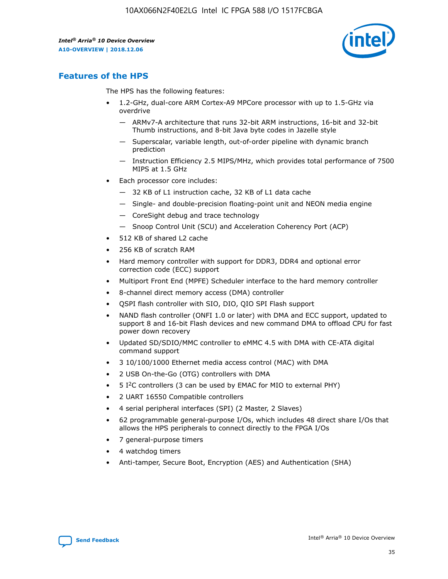

## **Features of the HPS**

The HPS has the following features:

- 1.2-GHz, dual-core ARM Cortex-A9 MPCore processor with up to 1.5-GHz via overdrive
	- ARMv7-A architecture that runs 32-bit ARM instructions, 16-bit and 32-bit Thumb instructions, and 8-bit Java byte codes in Jazelle style
	- Superscalar, variable length, out-of-order pipeline with dynamic branch prediction
	- Instruction Efficiency 2.5 MIPS/MHz, which provides total performance of 7500 MIPS at 1.5 GHz
- Each processor core includes:
	- 32 KB of L1 instruction cache, 32 KB of L1 data cache
	- Single- and double-precision floating-point unit and NEON media engine
	- CoreSight debug and trace technology
	- Snoop Control Unit (SCU) and Acceleration Coherency Port (ACP)
- 512 KB of shared L2 cache
- 256 KB of scratch RAM
- Hard memory controller with support for DDR3, DDR4 and optional error correction code (ECC) support
- Multiport Front End (MPFE) Scheduler interface to the hard memory controller
- 8-channel direct memory access (DMA) controller
- QSPI flash controller with SIO, DIO, QIO SPI Flash support
- NAND flash controller (ONFI 1.0 or later) with DMA and ECC support, updated to support 8 and 16-bit Flash devices and new command DMA to offload CPU for fast power down recovery
- Updated SD/SDIO/MMC controller to eMMC 4.5 with DMA with CE-ATA digital command support
- 3 10/100/1000 Ethernet media access control (MAC) with DMA
- 2 USB On-the-Go (OTG) controllers with DMA
- $\bullet$  5 I<sup>2</sup>C controllers (3 can be used by EMAC for MIO to external PHY)
- 2 UART 16550 Compatible controllers
- 4 serial peripheral interfaces (SPI) (2 Master, 2 Slaves)
- 62 programmable general-purpose I/Os, which includes 48 direct share I/Os that allows the HPS peripherals to connect directly to the FPGA I/Os
- 7 general-purpose timers
- 4 watchdog timers
- Anti-tamper, Secure Boot, Encryption (AES) and Authentication (SHA)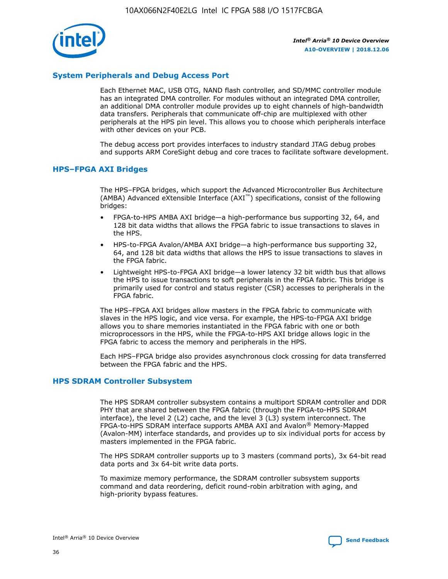

## **System Peripherals and Debug Access Port**

Each Ethernet MAC, USB OTG, NAND flash controller, and SD/MMC controller module has an integrated DMA controller. For modules without an integrated DMA controller, an additional DMA controller module provides up to eight channels of high-bandwidth data transfers. Peripherals that communicate off-chip are multiplexed with other peripherals at the HPS pin level. This allows you to choose which peripherals interface with other devices on your PCB.

The debug access port provides interfaces to industry standard JTAG debug probes and supports ARM CoreSight debug and core traces to facilitate software development.

## **HPS–FPGA AXI Bridges**

The HPS–FPGA bridges, which support the Advanced Microcontroller Bus Architecture (AMBA) Advanced eXtensible Interface (AXI™) specifications, consist of the following bridges:

- FPGA-to-HPS AMBA AXI bridge—a high-performance bus supporting 32, 64, and 128 bit data widths that allows the FPGA fabric to issue transactions to slaves in the HPS.
- HPS-to-FPGA Avalon/AMBA AXI bridge—a high-performance bus supporting 32, 64, and 128 bit data widths that allows the HPS to issue transactions to slaves in the FPGA fabric.
- Lightweight HPS-to-FPGA AXI bridge—a lower latency 32 bit width bus that allows the HPS to issue transactions to soft peripherals in the FPGA fabric. This bridge is primarily used for control and status register (CSR) accesses to peripherals in the FPGA fabric.

The HPS–FPGA AXI bridges allow masters in the FPGA fabric to communicate with slaves in the HPS logic, and vice versa. For example, the HPS-to-FPGA AXI bridge allows you to share memories instantiated in the FPGA fabric with one or both microprocessors in the HPS, while the FPGA-to-HPS AXI bridge allows logic in the FPGA fabric to access the memory and peripherals in the HPS.

Each HPS–FPGA bridge also provides asynchronous clock crossing for data transferred between the FPGA fabric and the HPS.

#### **HPS SDRAM Controller Subsystem**

The HPS SDRAM controller subsystem contains a multiport SDRAM controller and DDR PHY that are shared between the FPGA fabric (through the FPGA-to-HPS SDRAM interface), the level 2 (L2) cache, and the level 3 (L3) system interconnect. The FPGA-to-HPS SDRAM interface supports AMBA AXI and Avalon® Memory-Mapped (Avalon-MM) interface standards, and provides up to six individual ports for access by masters implemented in the FPGA fabric.

The HPS SDRAM controller supports up to 3 masters (command ports), 3x 64-bit read data ports and 3x 64-bit write data ports.

To maximize memory performance, the SDRAM controller subsystem supports command and data reordering, deficit round-robin arbitration with aging, and high-priority bypass features.

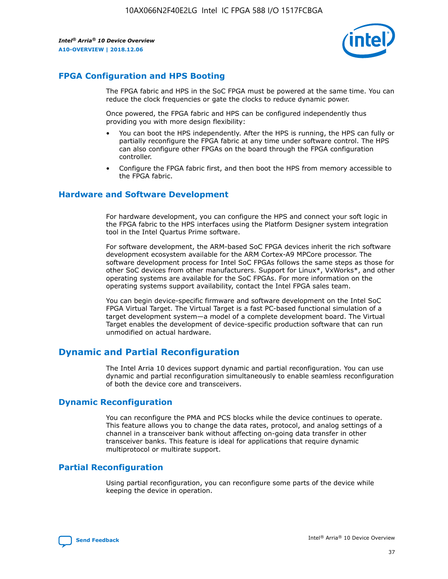

## **FPGA Configuration and HPS Booting**

The FPGA fabric and HPS in the SoC FPGA must be powered at the same time. You can reduce the clock frequencies or gate the clocks to reduce dynamic power.

Once powered, the FPGA fabric and HPS can be configured independently thus providing you with more design flexibility:

- You can boot the HPS independently. After the HPS is running, the HPS can fully or partially reconfigure the FPGA fabric at any time under software control. The HPS can also configure other FPGAs on the board through the FPGA configuration controller.
- Configure the FPGA fabric first, and then boot the HPS from memory accessible to the FPGA fabric.

## **Hardware and Software Development**

For hardware development, you can configure the HPS and connect your soft logic in the FPGA fabric to the HPS interfaces using the Platform Designer system integration tool in the Intel Quartus Prime software.

For software development, the ARM-based SoC FPGA devices inherit the rich software development ecosystem available for the ARM Cortex-A9 MPCore processor. The software development process for Intel SoC FPGAs follows the same steps as those for other SoC devices from other manufacturers. Support for Linux\*, VxWorks\*, and other operating systems are available for the SoC FPGAs. For more information on the operating systems support availability, contact the Intel FPGA sales team.

You can begin device-specific firmware and software development on the Intel SoC FPGA Virtual Target. The Virtual Target is a fast PC-based functional simulation of a target development system—a model of a complete development board. The Virtual Target enables the development of device-specific production software that can run unmodified on actual hardware.

## **Dynamic and Partial Reconfiguration**

The Intel Arria 10 devices support dynamic and partial reconfiguration. You can use dynamic and partial reconfiguration simultaneously to enable seamless reconfiguration of both the device core and transceivers.

## **Dynamic Reconfiguration**

You can reconfigure the PMA and PCS blocks while the device continues to operate. This feature allows you to change the data rates, protocol, and analog settings of a channel in a transceiver bank without affecting on-going data transfer in other transceiver banks. This feature is ideal for applications that require dynamic multiprotocol or multirate support.

## **Partial Reconfiguration**

Using partial reconfiguration, you can reconfigure some parts of the device while keeping the device in operation.

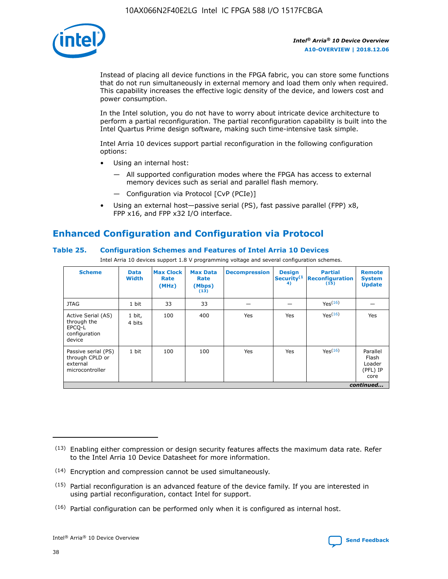

Instead of placing all device functions in the FPGA fabric, you can store some functions that do not run simultaneously in external memory and load them only when required. This capability increases the effective logic density of the device, and lowers cost and power consumption.

In the Intel solution, you do not have to worry about intricate device architecture to perform a partial reconfiguration. The partial reconfiguration capability is built into the Intel Quartus Prime design software, making such time-intensive task simple.

Intel Arria 10 devices support partial reconfiguration in the following configuration options:

- Using an internal host:
	- All supported configuration modes where the FPGA has access to external memory devices such as serial and parallel flash memory.
	- Configuration via Protocol [CvP (PCIe)]
- Using an external host—passive serial (PS), fast passive parallel (FPP) x8, FPP x16, and FPP x32 I/O interface.

# **Enhanced Configuration and Configuration via Protocol**

## **Table 25. Configuration Schemes and Features of Intel Arria 10 Devices**

Intel Arria 10 devices support 1.8 V programming voltage and several configuration schemes.

| <b>Scheme</b>                                                          | <b>Data</b><br><b>Width</b> | <b>Max Clock</b><br>Rate<br>(MHz) | <b>Max Data</b><br>Rate<br>(Mbps)<br>(13) | <b>Decompression</b> | <b>Design</b><br>Security <sup>(1</sup><br>4) | <b>Partial</b><br><b>Reconfiguration</b><br>(15) | <b>Remote</b><br><b>System</b><br><b>Update</b> |
|------------------------------------------------------------------------|-----------------------------|-----------------------------------|-------------------------------------------|----------------------|-----------------------------------------------|--------------------------------------------------|-------------------------------------------------|
| <b>JTAG</b>                                                            | 1 bit                       | 33                                | 33                                        |                      |                                               | Yes(16)                                          |                                                 |
| Active Serial (AS)<br>through the<br>EPCO-L<br>configuration<br>device | 1 bit,<br>4 bits            | 100                               | 400                                       | Yes                  | Yes                                           | $Y_{PS}(16)$                                     | Yes                                             |
| Passive serial (PS)<br>through CPLD or<br>external<br>microcontroller  | 1 bit                       | 100                               | 100                                       | Yes                  | Yes                                           | Yes(16)                                          | Parallel<br>Flash<br>Loader<br>(PFL) IP<br>core |
|                                                                        |                             |                                   |                                           |                      |                                               |                                                  | continued                                       |

<sup>(13)</sup> Enabling either compression or design security features affects the maximum data rate. Refer to the Intel Arria 10 Device Datasheet for more information.

<sup>(14)</sup> Encryption and compression cannot be used simultaneously.

 $(15)$  Partial reconfiguration is an advanced feature of the device family. If you are interested in using partial reconfiguration, contact Intel for support.

 $(16)$  Partial configuration can be performed only when it is configured as internal host.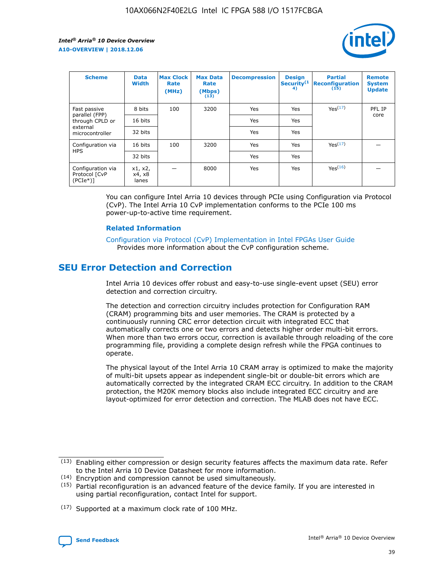

| <b>Scheme</b>                                    | <b>Data</b><br><b>Width</b> | <b>Max Clock</b><br>Rate<br>(MHz) | <b>Max Data</b><br>Rate<br>(Mbps)<br>(13) | <b>Decompression</b> | <b>Design</b><br>Security <sup>(1</sup><br>4) | <b>Partial</b><br><b>Reconfiguration</b><br>(15) | <b>Remote</b><br><b>System</b><br><b>Update</b> |
|--------------------------------------------------|-----------------------------|-----------------------------------|-------------------------------------------|----------------------|-----------------------------------------------|--------------------------------------------------|-------------------------------------------------|
| Fast passive                                     | 8 bits                      | 100                               | 3200                                      | <b>Yes</b>           | Yes                                           | Yes(17)                                          | PFL IP                                          |
| parallel (FPP)<br>through CPLD or                | 16 bits                     |                                   |                                           | Yes                  | Yes                                           |                                                  | core                                            |
| external<br>microcontroller                      | 32 bits                     |                                   |                                           | Yes                  | Yes                                           |                                                  |                                                 |
| Configuration via                                | 16 bits                     | 100                               | 3200                                      | Yes                  | Yes                                           | Yes <sup>(17)</sup>                              |                                                 |
| <b>HPS</b>                                       | 32 bits                     |                                   |                                           | Yes                  | Yes                                           |                                                  |                                                 |
| Configuration via<br>Protocol [CvP<br>$(PCIe^*)$ | x1, x2,<br>x4, x8<br>lanes  |                                   | 8000                                      | Yes                  | Yes                                           | Yes <sup>(16)</sup>                              |                                                 |

You can configure Intel Arria 10 devices through PCIe using Configuration via Protocol (CvP). The Intel Arria 10 CvP implementation conforms to the PCIe 100 ms power-up-to-active time requirement.

#### **Related Information**

[Configuration via Protocol \(CvP\) Implementation in Intel FPGAs User Guide](https://www.intel.com/content/www/us/en/programmable/documentation/dsu1441819344145.html#dsu1442269728522) Provides more information about the CvP configuration scheme.

# **SEU Error Detection and Correction**

Intel Arria 10 devices offer robust and easy-to-use single-event upset (SEU) error detection and correction circuitry.

The detection and correction circuitry includes protection for Configuration RAM (CRAM) programming bits and user memories. The CRAM is protected by a continuously running CRC error detection circuit with integrated ECC that automatically corrects one or two errors and detects higher order multi-bit errors. When more than two errors occur, correction is available through reloading of the core programming file, providing a complete design refresh while the FPGA continues to operate.

The physical layout of the Intel Arria 10 CRAM array is optimized to make the majority of multi-bit upsets appear as independent single-bit or double-bit errors which are automatically corrected by the integrated CRAM ECC circuitry. In addition to the CRAM protection, the M20K memory blocks also include integrated ECC circuitry and are layout-optimized for error detection and correction. The MLAB does not have ECC.

(14) Encryption and compression cannot be used simultaneously.

<sup>(17)</sup> Supported at a maximum clock rate of 100 MHz.



 $(13)$  Enabling either compression or design security features affects the maximum data rate. Refer to the Intel Arria 10 Device Datasheet for more information.

 $(15)$  Partial reconfiguration is an advanced feature of the device family. If you are interested in using partial reconfiguration, contact Intel for support.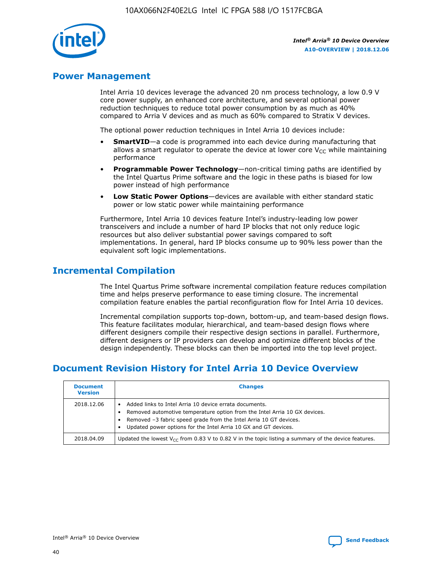

## **Power Management**

Intel Arria 10 devices leverage the advanced 20 nm process technology, a low 0.9 V core power supply, an enhanced core architecture, and several optional power reduction techniques to reduce total power consumption by as much as 40% compared to Arria V devices and as much as 60% compared to Stratix V devices.

The optional power reduction techniques in Intel Arria 10 devices include:

- **SmartVID**—a code is programmed into each device during manufacturing that allows a smart regulator to operate the device at lower core  $V_{CC}$  while maintaining performance
- **Programmable Power Technology**—non-critical timing paths are identified by the Intel Quartus Prime software and the logic in these paths is biased for low power instead of high performance
- **Low Static Power Options**—devices are available with either standard static power or low static power while maintaining performance

Furthermore, Intel Arria 10 devices feature Intel's industry-leading low power transceivers and include a number of hard IP blocks that not only reduce logic resources but also deliver substantial power savings compared to soft implementations. In general, hard IP blocks consume up to 90% less power than the equivalent soft logic implementations.

# **Incremental Compilation**

The Intel Quartus Prime software incremental compilation feature reduces compilation time and helps preserve performance to ease timing closure. The incremental compilation feature enables the partial reconfiguration flow for Intel Arria 10 devices.

Incremental compilation supports top-down, bottom-up, and team-based design flows. This feature facilitates modular, hierarchical, and team-based design flows where different designers compile their respective design sections in parallel. Furthermore, different designers or IP providers can develop and optimize different blocks of the design independently. These blocks can then be imported into the top level project.

# **Document Revision History for Intel Arria 10 Device Overview**

| <b>Document</b><br><b>Version</b> | <b>Changes</b>                                                                                                                                                                                                                                                              |
|-----------------------------------|-----------------------------------------------------------------------------------------------------------------------------------------------------------------------------------------------------------------------------------------------------------------------------|
| 2018.12.06                        | Added links to Intel Arria 10 device errata documents.<br>Removed automotive temperature option from the Intel Arria 10 GX devices.<br>Removed -3 fabric speed grade from the Intel Arria 10 GT devices.<br>Updated power options for the Intel Arria 10 GX and GT devices. |
| 2018.04.09                        | Updated the lowest $V_{CC}$ from 0.83 V to 0.82 V in the topic listing a summary of the device features.                                                                                                                                                                    |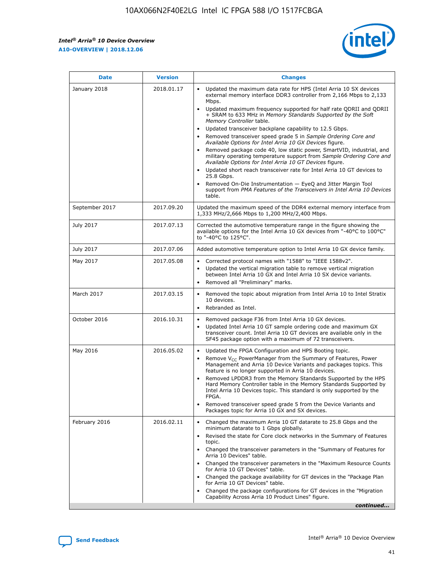*Intel® Arria® 10 Device Overview* **A10-OVERVIEW | 2018.12.06**



| <b>Date</b>    | <b>Version</b> | <b>Changes</b>                                                                                                                                                                                                                                                                                                                                                                                                                                                                                                                                                                                                                                                                                                                                                                                                                                                                                                                                                            |
|----------------|----------------|---------------------------------------------------------------------------------------------------------------------------------------------------------------------------------------------------------------------------------------------------------------------------------------------------------------------------------------------------------------------------------------------------------------------------------------------------------------------------------------------------------------------------------------------------------------------------------------------------------------------------------------------------------------------------------------------------------------------------------------------------------------------------------------------------------------------------------------------------------------------------------------------------------------------------------------------------------------------------|
| January 2018   | 2018.01.17     | Updated the maximum data rate for HPS (Intel Arria 10 SX devices<br>external memory interface DDR3 controller from 2,166 Mbps to 2,133<br>Mbps.<br>Updated maximum frequency supported for half rate QDRII and QDRII<br>+ SRAM to 633 MHz in Memory Standards Supported by the Soft<br>Memory Controller table.<br>Updated transceiver backplane capability to 12.5 Gbps.<br>$\bullet$<br>Removed transceiver speed grade 5 in Sample Ordering Core and<br>Available Options for Intel Arria 10 GX Devices figure.<br>Removed package code 40, low static power, SmartVID, industrial, and<br>military operating temperature support from Sample Ordering Core and<br>Available Options for Intel Arria 10 GT Devices figure.<br>Updated short reach transceiver rate for Intel Arria 10 GT devices to<br>25.8 Gbps.<br>Removed On-Die Instrumentation - EyeQ and Jitter Margin Tool<br>support from PMA Features of the Transceivers in Intel Arria 10 Devices<br>table. |
| September 2017 | 2017.09.20     | Updated the maximum speed of the DDR4 external memory interface from<br>1,333 MHz/2,666 Mbps to 1,200 MHz/2,400 Mbps.                                                                                                                                                                                                                                                                                                                                                                                                                                                                                                                                                                                                                                                                                                                                                                                                                                                     |
| July 2017      | 2017.07.13     | Corrected the automotive temperature range in the figure showing the<br>available options for the Intel Arria 10 GX devices from "-40°C to 100°C"<br>to "-40°C to 125°C".                                                                                                                                                                                                                                                                                                                                                                                                                                                                                                                                                                                                                                                                                                                                                                                                 |
| July 2017      | 2017.07.06     | Added automotive temperature option to Intel Arria 10 GX device family.                                                                                                                                                                                                                                                                                                                                                                                                                                                                                                                                                                                                                                                                                                                                                                                                                                                                                                   |
| May 2017       | 2017.05.08     | Corrected protocol names with "1588" to "IEEE 1588v2".<br>$\bullet$<br>Updated the vertical migration table to remove vertical migration<br>$\bullet$<br>between Intel Arria 10 GX and Intel Arria 10 SX device variants.<br>Removed all "Preliminary" marks.<br>$\bullet$                                                                                                                                                                                                                                                                                                                                                                                                                                                                                                                                                                                                                                                                                                |
| March 2017     | 2017.03.15     | Removed the topic about migration from Intel Arria 10 to Intel Stratix<br>10 devices.<br>Rebranded as Intel.<br>$\bullet$                                                                                                                                                                                                                                                                                                                                                                                                                                                                                                                                                                                                                                                                                                                                                                                                                                                 |
| October 2016   | 2016.10.31     | Removed package F36 from Intel Arria 10 GX devices.<br>Updated Intel Arria 10 GT sample ordering code and maximum GX<br>$\bullet$<br>transceiver count. Intel Arria 10 GT devices are available only in the<br>SF45 package option with a maximum of 72 transceivers.                                                                                                                                                                                                                                                                                                                                                                                                                                                                                                                                                                                                                                                                                                     |
| May 2016       | 2016.05.02     | Updated the FPGA Configuration and HPS Booting topic.<br>$\bullet$<br>Remove V <sub>CC</sub> PowerManager from the Summary of Features, Power<br>Management and Arria 10 Device Variants and packages topics. This<br>feature is no longer supported in Arria 10 devices.<br>Removed LPDDR3 from the Memory Standards Supported by the HPS<br>Hard Memory Controller table in the Memory Standards Supported by<br>Intel Arria 10 Devices topic. This standard is only supported by the<br>FPGA.<br>Removed transceiver speed grade 5 from the Device Variants and<br>Packages topic for Arria 10 GX and SX devices.                                                                                                                                                                                                                                                                                                                                                      |
| February 2016  | 2016.02.11     | Changed the maximum Arria 10 GT datarate to 25.8 Gbps and the<br>minimum datarate to 1 Gbps globally.<br>Revised the state for Core clock networks in the Summary of Features<br>$\bullet$<br>topic.<br>Changed the transceiver parameters in the "Summary of Features for<br>$\bullet$<br>Arria 10 Devices" table.<br>• Changed the transceiver parameters in the "Maximum Resource Counts<br>for Arria 10 GT Devices" table.<br>Changed the package availability for GT devices in the "Package Plan<br>for Arria 10 GT Devices" table.<br>Changed the package configurations for GT devices in the "Migration"<br>Capability Across Arria 10 Product Lines" figure.<br>continued                                                                                                                                                                                                                                                                                       |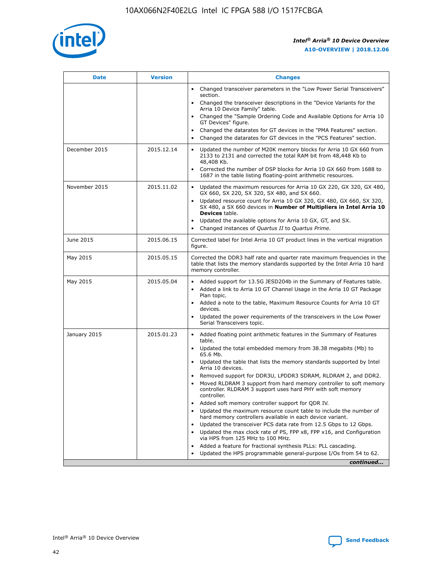

| <b>Date</b>   | <b>Version</b> | <b>Changes</b>                                                                                                                                                               |
|---------------|----------------|------------------------------------------------------------------------------------------------------------------------------------------------------------------------------|
|               |                | • Changed transceiver parameters in the "Low Power Serial Transceivers"<br>section.                                                                                          |
|               |                | • Changed the transceiver descriptions in the "Device Variants for the<br>Arria 10 Device Family" table.                                                                     |
|               |                | • Changed the "Sample Ordering Code and Available Options for Arria 10<br>GT Devices" figure.                                                                                |
|               |                | Changed the datarates for GT devices in the "PMA Features" section.<br>$\bullet$                                                                                             |
|               |                | Changed the datarates for GT devices in the "PCS Features" section.<br>$\bullet$                                                                                             |
| December 2015 | 2015.12.14     | Updated the number of M20K memory blocks for Arria 10 GX 660 from<br>2133 to 2131 and corrected the total RAM bit from 48,448 Kb to<br>48,408 Kb.                            |
|               |                | Corrected the number of DSP blocks for Arria 10 GX 660 from 1688 to<br>1687 in the table listing floating-point arithmetic resources.                                        |
| November 2015 | 2015.11.02     | Updated the maximum resources for Arria 10 GX 220, GX 320, GX 480,<br>$\bullet$<br>GX 660, SX 220, SX 320, SX 480, and SX 660.                                               |
|               |                | • Updated resource count for Arria 10 GX 320, GX 480, GX 660, SX 320,<br>SX 480, a SX 660 devices in Number of Multipliers in Intel Arria 10<br><b>Devices</b> table.        |
|               |                | • Updated the available options for Arria 10 GX, GT, and SX.                                                                                                                 |
|               |                | • Changed instances of Quartus II to Quartus Prime.                                                                                                                          |
| June 2015     | 2015.06.15     | Corrected label for Intel Arria 10 GT product lines in the vertical migration<br>figure.                                                                                     |
| May 2015      | 2015.05.15     | Corrected the DDR3 half rate and quarter rate maximum frequencies in the<br>table that lists the memory standards supported by the Intel Arria 10 hard<br>memory controller. |
| May 2015      | 2015.05.04     | • Added support for 13.5G JESD204b in the Summary of Features table.<br>• Added a link to Arria 10 GT Channel Usage in the Arria 10 GT Package<br>Plan topic.                |
|               |                | • Added a note to the table, Maximum Resource Counts for Arria 10 GT<br>devices.                                                                                             |
|               |                | • Updated the power requirements of the transceivers in the Low Power<br>Serial Transceivers topic.                                                                          |
| January 2015  | 2015.01.23     | • Added floating point arithmetic features in the Summary of Features<br>table.                                                                                              |
|               |                | • Updated the total embedded memory from 38.38 megabits (Mb) to<br>65.6 Mb.                                                                                                  |
|               |                | • Updated the table that lists the memory standards supported by Intel<br>Arria 10 devices.                                                                                  |
|               |                | • Removed support for DDR3U, LPDDR3 SDRAM, RLDRAM 2, and DDR2.                                                                                                               |
|               |                | Moved RLDRAM 3 support from hard memory controller to soft memory<br>$\bullet$<br>controller. RLDRAM 3 support uses hard PHY with soft memory<br>controller.                 |
|               |                | Added soft memory controller support for QDR IV.                                                                                                                             |
|               |                | Updated the maximum resource count table to include the number of<br>hard memory controllers available in each device variant.                                               |
|               |                | Updated the transceiver PCS data rate from 12.5 Gbps to 12 Gbps.<br>$\bullet$                                                                                                |
|               |                | Updated the max clock rate of PS, FPP x8, FPP x16, and Configuration<br>via HPS from 125 MHz to 100 MHz.                                                                     |
|               |                | Added a feature for fractional synthesis PLLs: PLL cascading.                                                                                                                |
|               |                | Updated the HPS programmable general-purpose I/Os from 54 to 62.<br>$\bullet$<br>continued                                                                                   |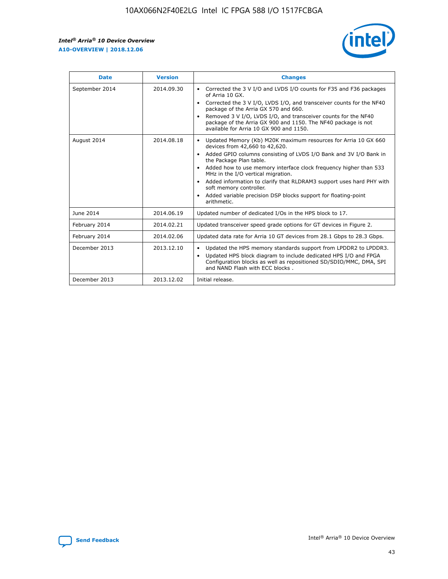r



| <b>Date</b>    | <b>Version</b> | <b>Changes</b>                                                                                                                                                                                                                                                                                                                                                                                                                                                                                                                                      |
|----------------|----------------|-----------------------------------------------------------------------------------------------------------------------------------------------------------------------------------------------------------------------------------------------------------------------------------------------------------------------------------------------------------------------------------------------------------------------------------------------------------------------------------------------------------------------------------------------------|
| September 2014 | 2014.09.30     | Corrected the 3 V I/O and LVDS I/O counts for F35 and F36 packages<br>$\bullet$<br>of Arria 10 GX.<br>Corrected the 3 V I/O, LVDS I/O, and transceiver counts for the NF40<br>$\bullet$<br>package of the Arria GX 570 and 660.<br>Removed 3 V I/O, LVDS I/O, and transceiver counts for the NF40<br>$\bullet$<br>package of the Arria GX 900 and 1150. The NF40 package is not<br>available for Arria 10 GX 900 and 1150.                                                                                                                          |
| August 2014    | 2014.08.18     | Updated Memory (Kb) M20K maximum resources for Arria 10 GX 660<br>devices from 42,660 to 42,620.<br>Added GPIO columns consisting of LVDS I/O Bank and 3V I/O Bank in<br>$\bullet$<br>the Package Plan table.<br>Added how to use memory interface clock frequency higher than 533<br>$\bullet$<br>MHz in the I/O vertical migration.<br>Added information to clarify that RLDRAM3 support uses hard PHY with<br>$\bullet$<br>soft memory controller.<br>Added variable precision DSP blocks support for floating-point<br>$\bullet$<br>arithmetic. |
| June 2014      | 2014.06.19     | Updated number of dedicated I/Os in the HPS block to 17.                                                                                                                                                                                                                                                                                                                                                                                                                                                                                            |
| February 2014  | 2014.02.21     | Updated transceiver speed grade options for GT devices in Figure 2.                                                                                                                                                                                                                                                                                                                                                                                                                                                                                 |
| February 2014  | 2014.02.06     | Updated data rate for Arria 10 GT devices from 28.1 Gbps to 28.3 Gbps.                                                                                                                                                                                                                                                                                                                                                                                                                                                                              |
| December 2013  | 2013.12.10     | Updated the HPS memory standards support from LPDDR2 to LPDDR3.<br>Updated HPS block diagram to include dedicated HPS I/O and FPGA<br>$\bullet$<br>Configuration blocks as well as repositioned SD/SDIO/MMC, DMA, SPI<br>and NAND Flash with ECC blocks.                                                                                                                                                                                                                                                                                            |
| December 2013  | 2013.12.02     | Initial release.                                                                                                                                                                                                                                                                                                                                                                                                                                                                                                                                    |